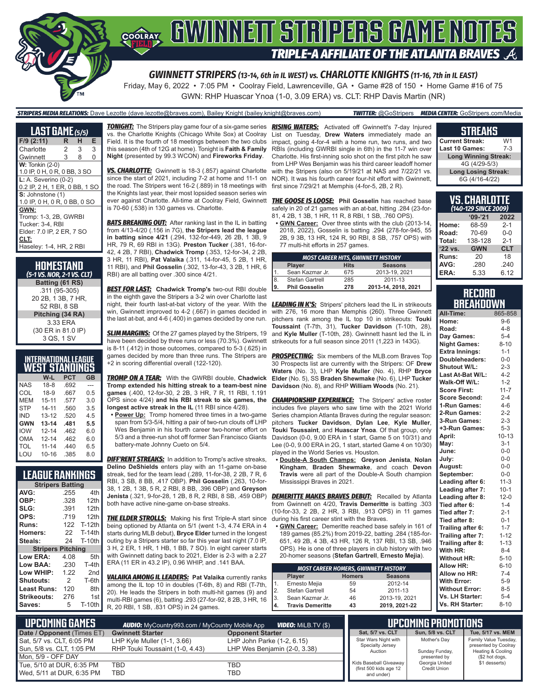

Friday, May 6, 2022 • 7:05 PM • Coolray Field, Lawrenceville, GA • Game #28 of 150 • Home Game #16 of 75 GWN: RHP Huascar Ynoa (1-0, 3.09 ERA) vs. CLT: RHP Davis Martin (NR)

#### *STRIPERS MEDIA RELATIONS:* Dave Lezotte (dave.lezotte@braves.com), Bailey Knight (bailey.knight@braves.com) *TWITTER:* @GoStripers *MEDIA CENTER:* GoStripers.com/Media

| <b>LAST GAME (5/5)</b>                                  |   |   |                |
|---------------------------------------------------------|---|---|----------------|
| $F/9$ (2:11)                                            | R | н | Е              |
| Charlotte                                               | 2 | 3 | 3              |
| Gwinnett                                                | 3 | 8 | $\overline{0}$ |
| <b>W:</b> Tonkin (2-0)                                  |   |   |                |
| 1.0 IP, 0 H, 0 R, 0 BB, 3 SO                            |   |   |                |
| $L: A.$ Severino (0-2)<br>0.2 IP, 2 H, 1 ER, 0 BB, 1 SO |   |   |                |
| S: Johnstone (1)                                        |   |   |                |
| 1.0 IP, 0 H, 0 R, 0 BB, 0 SO                            |   |   |                |
| GWN:                                                    |   |   |                |
| Tromp: 1-3, 2B, GWRBI                                   |   |   |                |
| Tucker: 3-4. RBI                                        |   |   |                |
| Elder: 7.0 IP, 2 ER, 7 SO                               |   |   |                |
| CLT:                                                    |   |   |                |
| Haseley: 1-4, HR, 2 RBI                                 |   |   |                |

| HOMESTAND<br>(5-1 VS. NOR, 2-1 VS. CLT) |
|-----------------------------------------|
| Batting (61 RS)                         |
| .311 (95-305)                           |
| 20 2B, 1 3B, 7 HR,                      |
| 52 RBI, 8 SB                            |
| Pitching (34 RA)                        |
| 3.33 ERA                                |
| (30 ER in 81.0 IP)                      |
| 3 QS, 1 SV                              |

#### **INTERNATIONAL LEAGUE WEST STANDINGS**

|            | W-L       | <b>PCT</b> | GB  |
|------------|-----------|------------|-----|
| <b>NAS</b> | $18-8$    | .692       | --- |
| COL        | $18-9$    | .667       | 0.5 |
| MFM        | $15 - 11$ | .577       | 3.0 |
| <b>STP</b> | $14 - 11$ | .560       | 3.5 |
| IND        | $13 - 12$ | .520       | 4.5 |
| <b>GWN</b> | $13 - 14$ | .481       | 5.5 |
| <b>IOW</b> | $12 - 14$ | .462       | 6.0 |
| OMA        | $12 - 14$ | .462       | 6.0 |
| TOL        | $11 - 14$ | .440       | 6.5 |
| LOU        | $10 - 16$ | .385       | 8.0 |

### **LEAGUE RANKINGS**

|                          | <b>Stripers Batting</b> |                 |  |
|--------------------------|-------------------------|-----------------|--|
| AVG:                     | .255                    | 4th             |  |
| OBP:                     | .328                    | 12th            |  |
| SLG:                     | .391                    | 12th            |  |
| OPS:                     | .719                    | 12th            |  |
| <b>Runs:</b>             | 122                     | <b>T-12th</b>   |  |
| Homers:                  | 22                      | T-14th          |  |
| Steals:                  | 24                      | <b>T-10th</b>   |  |
| <b>Stripers Pitching</b> |                         |                 |  |
| Low ERA:                 | 4.08                    | 5th             |  |
| Low BAA:                 | .230                    | T-4th           |  |
| Low WHIP:                | 1.22                    | 2 <sub>nd</sub> |  |
| <b>Shutouts:</b>         | 2                       | T-6th           |  |
| Least Runs:              | 120                     | 8th             |  |
| Strikeouts:              | 276                     | 1st             |  |
| Saves:                   | 5                       | <b>T-10th</b>   |  |
|                          |                         |                 |  |

vs. the Charlotte Knights (Chicago White Sox) at Coolray Field. It is the fourth of 18 meetings between the two clubs this season (4th of 12G at home). Tonight is **Faith & Family Night** (presented by 99.3 WCON) and **Fireworks Friday**.

*VS. CHARLOTTE:* Gwinnett is 18-3 (.857) against Charlotte since the start of 2021, including 7-2 at home and 11-1 on the road. The Stripers went 16-2 (.889) in 18 meetings with the Knights last year, their most lopsided season series win ever against Charlotte. All-time at Coolray Field, Gwinnett is 70-60 (.538) in 130 games vs. Charlotte.

**BATS BREAKING OUT:** After ranking last in the IL in batting from 4/13-4/20 (.156 in 7G), **the Stripers lead the league in batting since 4/21** (.294, 132-for-449, 26 2B, 1 3B, 9 HR, 79 R, 69 RBI in 13G). **Preston Tucker** (.381, 16-for-42, 4 2B, 7 RBI), **Chadwick Tromp** (.353, 12-for-34, 2 2B, 3 HR, 11 RBI), **Pat Valaika** (.311, 14-for-45, 5 2B, 1 HR, 11 RBI), and **Phil Gosselin** (.302, 13-for-43, 3 2B, 1 HR, 6 RBI) are all batting over .300 since 4/21.

*BEST FOR LAST:* **Chadwick Tromp's** two-out RBI double in the eighth gave the Stripers a 3-2 win over Charlotte last night, their fourth last-at-bat victory of the year. With the *LEADING IN K'S:* Stripers' pitchers lead the IL in strikeouts win, Gwinnett improved to 4-2 (.667) in games decided in the last at-bat, and 4-6 (.400) in games decided by one run.

*SLIM MARGINS:* Of the 27 games played by the Stripers, 19 have been decided by three runs or less (70.3%). Gwinnett is 8-11 (.412) in those outcomes, compared to 5-3 (.625) in +2 in scoring differential overall (122-120).

*TROMP ON A TEAR:* With the GWRBI double, **Chadwick Tromp extended his hitting streak to a team-best nine games** (.400, 12-for-30, 2 2B, 3 HR, 7 R, 11 RBI, 1.191 OPS since 4/24) **and his RBI streak to six games, the longest active streak in the IL** (11 RBI since 4/28).

**• Power Up:** Tromp homered three times in a two-game span from 5/3-5/4, hitting a pair of two-run clouts off LHP Wes Benjamin in his fourth career two-homer effort on 5/3 and a three-run shot off former San Francisco Giants battery-mate Johnny Cueto on 5/4.

**DIFF'RENT STREAKS:** In addition to Tromp's active streaks, **Delino DeShields** enters play with an 11-game on-base streak, tied for the team lead (.289, 11-for-38, 2 2B, 7 R, 6 RBI, 3 SB, 8 BB, .417 OBP). **Phil Gosselin** (.263, 10-for-38, 1 2B, 1 3B, 5 R, 2 RBI, 8 BB, .396 OBP) and **Greyson**  both have active nine-game on-base streaks.

**THE ELDER STROLLS:** Making his first Triple-A start since being optioned by Atlanta on 5/1 (went 1-3, 4.74 ERA in 4 starts during MLB debut), **Bryce Elder** turned in the longest outing by a Stripers starter so far this year last night (7.0 IP, 3 H, 2 ER, 1 HR, 1 HB, 1 BB, 7 SO). In eight career starts with Gwinnett dating back to 2021, Elder is 2-3 with a 2.27 ERA (11 ER in 43.2 IP), 0.96 WHIP, and .141 BAA.

*VALAIKA AMONG IL LEADERS:* **Pat Valaika** currently ranks among the IL top 10 in doubles (T-6th, 8) and RBI (T-7th, 20). He leads the Stripers in both multi-hit games (9) and multi-RBI games (6), batting .293 (27-for-92, 8 2B, 3 HR, 16 R, 20 RBI, 1 SB, .831 OPS) in 24 games.

*TONIGHT:* The Stripers play game four of a six-game series *RISING WATERS:* Activated off Gwinnett's 7-day Injured List on Tuesday, **Drew Waters** immediately made an impact, going 4-for-4 with a home run, two runs, and two RBIs (including GWRBI single in 6th) in the 11-7 win over Charlotte. His first-inning solo shot on the first pitch he saw from LHP Wes Benjamin was his third career leadoff homer with the Stripers (also on 5/19/21 at NAS and 7/22/21 vs. NOR). It was his fourth career four-hit effort with Gwinnett, first since 7/29/21 at Memphis (4-for-5, 2B, 2 R).

> *THE GOOSE IS LOOSE:* **Phil Gosselin** has reached base safely in 20 of 21 games with an at-bat, hitting .284 (23-for-81, 4 2B, 1 3B, 1 HR, 11 R, 8 RBI, 1 SB, .760 OPS).

**• GWN Career:** Over three stints with the club (2013-14, 2018, 2022), Gosselin is batting .294 (278-for-945, 55 2B, 9 3B, 13 HR, 124 R, 90 RBI, 8 SB, .757 OPS) with 77 multi-hit efforts in 257 games.

|                      |                      |             | <b>MOST CAREER HITS, GWINNETT HISTORY</b> |
|----------------------|----------------------|-------------|-------------------------------------------|
|                      | <b>Player</b>        | <b>Hits</b> | <b>Seasons</b>                            |
|                      | Sean Kazmar Jr.      | 675         | 2013-19, 2021                             |
| $\vert$ <sup>8</sup> | Stefan Gartrell      | 285         | 2011-13                                   |
| 19.                  | <b>Phil Gosselin</b> | 278         | 2013-14, 2018, 2021                       |

with 276, 16 more than Memphis (260). Three Gwinnett pitchers rank among the IL top 10 in strikeouts: **Touki Toussaint** (T-7th, 31), **Tucker Davidson** (T-10th, 28), and **Kyle Muller** (T-10th, 28). Gwinnett hasnt led the IL in strikeouts for a full season since 2011 (1,223 in 143G).

games decided by more than three runs. The Stripers are *PROSPECTING:* Six members of the MLB.com Braves Top 30 Prospects list are currently with the Stripers: OF **Drew Waters** (No. 3), LHP **Kyle Muller** (No. 4), RHP **Bryce Elder** (No. 5), SS **Braden Shewmake** (No. 6), LHP **Tucker Davidson** (No. 8), and RHP **William Woods** (No. 21).

> **CHAMPIONSHIP EXPERIENCE:** The Stripers' active roster includes five players who saw time with the 2021 World Series champion Atlanta Braves during the regular season: pitchers **Tucker Davidson**, **Dylan Lee**, **Kyle Muller**, **Touki Toussaint**, and **Huascar Ynoa**. Of that group, only Davidson (0-0, 9.00 ERA in 1 start, Game 5 on 10/31) and Lee (0-0, 9.00 ERA in 2G, 1 start, started Game 4 on 10/30) played in the World Series vs. Houston.

**• Double-A South Champs: Greyson Jenista**, **Nolan Kingham**, **Braden Shewmake**, and coach **Devon Travis** were all part of the Double-A South champion Mississippi Braves in 2021.

**Jenista** (.321, 9-for-28, 1 2B, 8 R, 2 RBI, 8 SB, .459 OBP) *DEMERITTE MAKES BRAVES DEBUT:* Recalled by Atlanta from Gwinnett on 4/20, **Travis Demeritte** is batting .303 (10-for-33, 2 2B, 2 HR, 3 RBI, .913 OPS) in 11 games during his first career stint with the Braves.

**• GWN Career:** Demeritte reached base safely in 161 of 189 games (85.2%) from 2019-22, batting .284 (185-for-651, 49 2B, 4 3B, 43 HR, 126 R, 137 RBI, 13 SB, .946 OPS). He is one of three players in club history with two 20-homer seasons (**Stefan Gartrell**, **Ernesto Mejia**).

|    | <b>MOST CAREER HOMERS, GWINNETT HISTORY</b> |               |                |
|----|---------------------------------------------|---------------|----------------|
|    | Player                                      | <b>Homers</b> | <b>Seasons</b> |
| 1. | Ernesto Mejia                               | 59            | 2012-14        |
| 2. | Stefan Gartrell                             | 54            | 2011-13        |
| 3. | Sean Kazmar Jr.                             | 46            | 2013-19, 2021  |
| 4. | <b>Travis Demeritte</b>                     | 43            | 2019, 2021-22  |

#### **STREAKS Current Streak:** W1<br>Last 10 Games: 7-3 **Last 10 Games:**

**Long Winning Streak:** 4G (4/29-5/3) **Long Losing Streak:** 6G (4/16-4/22)

|         | <b>VS. CHARLOTTE</b><br>(140-129 SINCE 2009) |            |
|---------|----------------------------------------------|------------|
|         | $9 - 21$                                     | 2022       |
| Home:   | 68-59                                        | $2 - 1$    |
| Road:   | 70-69                                        | $0 - 0$    |
| Total:  | 138-128                                      | $2 - 1$    |
| '22 vs. | <b>GWN</b>                                   | <b>CLT</b> |
| Runs:   | 20                                           | 18         |
| AVG.    | 280                                          | 240        |

|  |  | <b>RECORD</b> |  |                  |
|--|--|---------------|--|------------------|
|  |  |               |  | <b>BREAKDOWN</b> |

**ERA:** 5.33 6.12

| All-Time:             | 865-858   |
|-----------------------|-----------|
| Home:                 | $9 - 6$   |
| Road:                 | $4 - 8$   |
| Day Games:            | $5 - 4$   |
| <b>Night Games:</b>   | $8 - 10$  |
| <b>Extra Innings:</b> | $1 - 1$   |
| Doubleheaders:        | $0 - 0$   |
| Shutout W/L:          | $2 - 3$   |
| Last At-Bat W/L:      | $4 - 2$   |
| Walk-Off W/L:         | $1 - 2$   |
| <b>Score First:</b>   | $11 - 7$  |
| <b>Score Second:</b>  | $2 - 4$   |
| 1-Run Games:          | $4 - 6$   |
| 2-Run Games:          | $2 - 2$   |
| 3-Run Games:          | $2 - 3$   |
| +3-Run Games:         | $5 - 3$   |
| April:                | $10 - 13$ |
| May:                  | $3 - 1$   |
| June:                 | $0 - 0$   |
| July:                 | $0-0$     |
| August:               | $0-0$     |
| September:            | $0 - 0$   |
| Leading after 6:      | $11-3$    |
| Leading after 7:      | $10-1$    |
| Leading after 8:      | $12 - 0$  |
| Tied after 6:         | $1 - 4$   |
| Tied after 7:         | $2 - 1$   |
| Tied after 8:         | $0 - 1$   |
| Trailing after 6:     | $1 - 7$   |
| Trailing after 7:     | $1 - 12$  |
| Trailing after 8:     | $1 - 13$  |
| With HR:              | $8 - 4$   |
| <b>Without HR:</b>    | $5 - 10$  |
| <b>Allow HR:</b>      | $6 - 10$  |
| Allow no HR:          | $7 - 4$   |
| <b>With Error:</b>    | $5-9$     |
| <b>Without Error:</b> | $8 - 5$   |
| Vs. LH Starter:       | $5 - 4$   |
| Vs. RH Starter:       | $8 - 10$  |

| I UPCOMING GAMES I                                       | <b>AUDIO:</b> MyCountry993.com / MyCountry Mobile App            | WDEO: Milb.TV (\$)                                         |                                                     | <b>LUPCOMING PROMOTIONS</b>    |                                                                    |
|----------------------------------------------------------|------------------------------------------------------------------|------------------------------------------------------------|-----------------------------------------------------|--------------------------------|--------------------------------------------------------------------|
| Date / Opponent (Times ET)                               | <b>Gwinnett Starter</b>                                          | <b>Opponent Starter</b>                                    | Sat. 5/7 vs. CLT                                    | <b>Sun. 5/8 vs. CLT</b>        | Tue, 5/17 vs. MEM                                                  |
| Sat, 5/7 vs. CLT, 6:05 PM<br>  Sun, 5/8 vs. CLT, 1:05 PM | LHP Kyle Muller $(1-1, 3.66)$<br>RHP Touki Toussaint (1-0, 4.43) | LHP John Parke (1-2, 6.15)<br>LHP Wes Benjamin (2-0, 3.38) | Star Wars Night with<br>Specialty Jersey<br>Auction | Mother's Day<br>Sunday Funday, | Family Value Tuesday,<br>presented by Coolray<br>Heating & Cooling |
| Mon. 5/9 - OFF DAY                                       |                                                                  |                                                            |                                                     | presented by                   | (\$2 hot dogs,                                                     |
| Tue, 5/10 at DUR, 6:35 PM                                | <b>TBD</b>                                                       | TBD                                                        | Kids Baseball Giveaway<br>(first 500 kids age 12    | Georgia United<br>Credit Union | \$1 desserts)                                                      |
| Wed, 5/11 at DUR, 6:35 PM                                | TBD                                                              | TBD                                                        | and under)                                          |                                |                                                                    |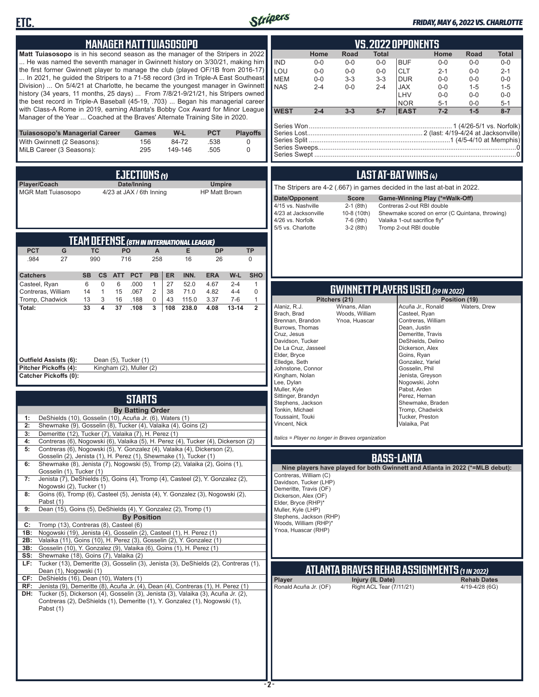



### *FRIDAY, MAY 6, 2022 VS. CHARLOTTE*

| <b>MANAGER MATTTUIASOSOPO</b>                                                                                                                                                                                                                                                                                                                                                                                                                                                                                                                                                                                                                                                                                                                                                                                                                                                                                                                                                                                                                                                                                                                                                                                                                                                                         | <b>VS.2022 OPPONENTS</b>                                                                                                                                                                                                                                                                                                                                                                                                                                                                                                                                                                                                                                                     |
|-------------------------------------------------------------------------------------------------------------------------------------------------------------------------------------------------------------------------------------------------------------------------------------------------------------------------------------------------------------------------------------------------------------------------------------------------------------------------------------------------------------------------------------------------------------------------------------------------------------------------------------------------------------------------------------------------------------------------------------------------------------------------------------------------------------------------------------------------------------------------------------------------------------------------------------------------------------------------------------------------------------------------------------------------------------------------------------------------------------------------------------------------------------------------------------------------------------------------------------------------------------------------------------------------------|------------------------------------------------------------------------------------------------------------------------------------------------------------------------------------------------------------------------------------------------------------------------------------------------------------------------------------------------------------------------------------------------------------------------------------------------------------------------------------------------------------------------------------------------------------------------------------------------------------------------------------------------------------------------------|
| Matt Tuiasosopo is in his second season as the manager of the Stripers in 2022<br>He was named the seventh manager in Gwinnett history on 3/30/21, making him<br>the first former Gwinnett player to manage the club (played OF/1B from 2016-17)<br>In 2021, he guided the Stripers to a 71-58 record (3rd in Triple-A East Southeast<br>Division)  On 5/4/21 at Charlotte, he became the youngest manager in Gwinnett<br>history (34 years, 11 months, 25 days)  From 7/8/21-9/21/21, his Stripers owned<br>the best record in Triple-A Baseball (45-19, .703)  Began his managerial career<br>with Class-A Rome in 2019, earning Atlanta's Bobby Cox Award for Minor League<br>Manager of the Year  Coached at the Braves' Alternate Training Site in 2020.                                                                                                                                                                                                                                                                                                                                                                                                                                                                                                                                         | <b>Road</b><br>Home<br>Home<br><b>Total</b><br><b>Road</b><br><b>Total</b><br><b>IND</b><br>$0-0$<br><b>BUF</b><br>$0 - 0$<br>$0-0$<br>$0-0$<br>$0-0$<br>$0-0$<br>LOU<br>$0 - 0$<br>$0-0$<br>$0-0$<br><b>CLT</b><br>$0-0$<br>$2 - 1$<br>$2 - 1$<br><b>MEM</b><br>$3 - 3$<br>$3-3$<br><b>DUR</b><br>$0 - 0$<br>$0-0$<br>$0-0$<br>$0 - 0$<br><b>NAS</b><br>$0 - 0$<br>$2 - 4$<br><b>JAX</b><br>$2 - 4$<br>$0 - 0$<br>$1 - 5$<br>$1 - 5$<br>LHV<br>$0 - 0$<br>$0-0$<br>$0 - 0$<br><b>NOR</b><br>$5 - 1$<br>$0-0$<br>$5 - 1$<br><b>WEST</b><br>$2 - 4$<br>$3 - 3$<br>$7 - 2$<br>$1-5$<br>$8 - 7$<br>$5 - 7$<br><b>EAST</b>                                                       |
| <b>PCT</b><br>W-L<br><b>Playoffs</b><br>Tuiasosopo's Managerial Career<br>Games<br>156<br>84-72<br>.538<br>With Gwinnett (2 Seasons):<br>0<br>295<br>149-146<br>MiLB Career (3 Seasons):<br>.505<br>0                                                                                                                                                                                                                                                                                                                                                                                                                                                                                                                                                                                                                                                                                                                                                                                                                                                                                                                                                                                                                                                                                                 |                                                                                                                                                                                                                                                                                                                                                                                                                                                                                                                                                                                                                                                                              |
| EJECTIONS (1)                                                                                                                                                                                                                                                                                                                                                                                                                                                                                                                                                                                                                                                                                                                                                                                                                                                                                                                                                                                                                                                                                                                                                                                                                                                                                         | LAST AT-BAT WINS (4)                                                                                                                                                                                                                                                                                                                                                                                                                                                                                                                                                                                                                                                         |
| Player/Coach<br>Date/Inning<br><b>Umpire</b><br><b>MGR Matt Tuiasosopo</b><br>4/23 at JAX / 6th Inning<br><b>HP Matt Brown</b>                                                                                                                                                                                                                                                                                                                                                                                                                                                                                                                                                                                                                                                                                                                                                                                                                                                                                                                                                                                                                                                                                                                                                                        | The Stripers are 4-2 (.667) in games decided in the last at-bat in 2022.<br>Date/Opponent<br><b>Score</b><br>Game-Winning Play (*=Walk-Off)<br>4/15 vs. Nashville<br>$2-1$ (8th)<br>Contreras 2-out RBI double<br>4/23 at Jacksonville<br>10-8 (10th)<br>Shewmake scored on error (C Quintana, throwing)<br>4/26 vs. Norfolk<br>7-6 (9th)<br>Valaika 1-out sacrifice fly*<br>5/5 vs. Charlotte<br>$3-2(8th)$<br>Tromp 2-out RBI double                                                                                                                                                                                                                                       |
| <b>TEAM DEFENSE (8TH IN INTERNATIONAL LEAGUE)</b><br><b>PCT</b><br>PO<br><b>TP</b><br>G<br><b>TC</b><br>$\mathsf{A}$<br>Е<br><b>DP</b><br>990<br>16<br>.984<br>27<br>716<br>258<br>26<br>0<br><b>PCT</b><br>INN.<br>W-L<br><b>SHO</b><br><b>Catchers</b><br><b>SB</b><br>$\mathsf{cs}$<br><b>ATT</b><br>PB<br>ER<br><b>ERA</b>                                                                                                                                                                                                                                                                                                                                                                                                                                                                                                                                                                                                                                                                                                                                                                                                                                                                                                                                                                        |                                                                                                                                                                                                                                                                                                                                                                                                                                                                                                                                                                                                                                                                              |
| 6<br>0<br>6<br>.000<br>27<br>52.0<br>4.67<br>$2 - 4$<br>Casteel, Ryan<br>$\mathbf{1}$<br>$\mathbf{1}$<br>$\overline{2}$<br>Contreras, William<br>$\mathbf{1}$<br>15<br>.067<br>38<br>71.0<br>4.82<br>$4 - 4$<br>0<br>14                                                                                                                                                                                                                                                                                                                                                                                                                                                                                                                                                                                                                                                                                                                                                                                                                                                                                                                                                                                                                                                                               | <b>GWINNETT PLAYERS USED (39 IN 2022)</b>                                                                                                                                                                                                                                                                                                                                                                                                                                                                                                                                                                                                                                    |
| Tromp, Chadwick<br>13<br>3<br>$\mathbf 0$<br>115.0<br>$7-6$<br>$\mathbf{1}$<br>16<br>.188<br>43<br>3.37<br>$\overline{\mathbf{4}}$<br>33<br>3<br>108<br>238.0<br>$13 - 14$<br>$\overline{2}$<br>Total:<br>37<br>.108<br>4.08<br><b>Outfield Assists (6):</b><br>Dean (5), Tucker (1)<br>Pitcher Pickoffs (4):<br>Kingham (2), Muller (2)<br><b>Catcher Pickoffs (0):</b><br><b>STARTS</b>                                                                                                                                                                                                                                                                                                                                                                                                                                                                                                                                                                                                                                                                                                                                                                                                                                                                                                             | Pitchers (21)<br>Position (19)<br>Alaniz, R.J.<br>Winans, Allan<br>Acuña Jr., Ronald<br>Waters, Drew<br>Brach, Brad<br>Woods, William<br>Casteel, Ryan<br>Contreras, William<br>Brennan, Brandon<br>Ynoa, Huascar<br>Burrows, Thomas<br>Dean, Justin<br>Cruz, Jesus<br>Demeritte, Travis<br>Davidson, Tucker<br>DeShields, Delino<br>De La Cruz, Jasseel<br>Dickerson, Alex<br>Elder, Bryce<br>Goins, Ryan<br>Elledge, Seth<br>Gonzalez, Yariel<br>Johnstone, Connor<br>Gosselin, Phil<br>Kingham, Nolan<br>Jenista, Greyson<br>Lee, Dylan<br>Nogowski, John<br>Muller, Kyle<br>Pabst, Arden<br>Sittinger, Brandyn<br>Perez, Hernan<br>Stephens, Jackson<br>Shewmake, Braden |
| <b>By Batting Order</b><br>DeShields (10), Gosselin (10), Acuña Jr. (6), Waters (1)<br>1:<br>2:<br>Shewmake (9), Gosselin (8), Tucker (4), Valaika (4), Goins (2)<br>Demeritte (12), Tucker (7), Valaika (7), H. Perez (1)<br>3:<br>Contreras (6), Nogowski (6), Valaika (5), H. Perez (4), Tucker (4), Dickerson (2)<br>4:<br>Contreras (6), Nogowski (5), Y. Gonzalez (4), Valaika (4), Dickerson (2),<br>5:                                                                                                                                                                                                                                                                                                                                                                                                                                                                                                                                                                                                                                                                                                                                                                                                                                                                                        | Tonkin, Michael<br>Tromp, Chadwick<br>Toussaint, Touki<br>Tucker, Preston<br>Vincent, Nick<br>Valaika, Pat<br>Italics = Player no longer in Braves organization                                                                                                                                                                                                                                                                                                                                                                                                                                                                                                              |
| Gosselin (2), Jenista (1), H. Perez (1), Shewmake (1), Tucker (1)<br>Shewmake (8), Jenista (7), Nogowski (5), Tromp (2), Valaika (2), Goins (1),<br>6:<br>Gosselin (1), Tucker (1)<br>Jenista (7), DeShields (5), Goins (4), Tromp (4), Casteel (2), Y. Gonzalez (2),<br>7:<br>Nogowski (2), Tucker (1)<br>Goins (6), Tromp (6), Casteel (5), Jenista (4), Y. Gonzalez (3), Nogowski (2),<br>8:<br>Pabst (1)<br>Dean (15), Goins (5), DeShields (4), Y. Gonzalez (2), Tromp (1)<br>9:<br><b>By Position</b><br>Tromp (13), Contreras (8), Casteel (6)<br>C:<br>Nogowski (19), Jenista (4), Gosselin (2), Casteel (1), H. Perez (1)<br>1B:<br>Valaika (11), Goins (10), H. Perez (3), Gosselin (2), Y. Gonzalez (1)<br>2B:<br>3B: Gosselin (10), Y. Gonzalez (9), Valaika (6), Goins (1), H. Perez (1)<br>SS: Shewmake (18), Goins (7), Valaika (2)<br>Tucker (13), Demeritte (3), Gosselin (3), Jenista (3), DeShields (2), Contreras (1),<br>LF:<br>Dean (1), Nogowski (1)<br>CF: DeShields (16), Dean (10), Waters (1)<br>RF: Jenista (9), Demeritte (8), Acuña Jr. (4), Dean (4), Contreras (1), H. Perez (1)<br>DH: Tucker (5), Dickerson (4), Gosselin (3), Jenista (3), Valaika (3), Acuña Jr. (2),<br>Contreras (2), DeShields (1), Demeritte (1), Y. Gonzalez (1), Nogowski (1),<br>Pabst (1) | <b>BASS-LANTA</b><br>Nine players have played for both Gwinnett and Atlanta in 2022 (*=MLB debut):<br>Contreras, William (C)<br>Davidson, Tucker (LHP)<br>Demeritte, Travis (OF)<br>Dickerson, Alex (OF)<br>Elder, Bryce (RHP)*<br>Muller, Kyle (LHP)<br>Stephens, Jackson (RHP)<br>Woods, William (RHP)*<br>Ynoa, Huascar (RHP)<br><u>ATLANTA BRAVES REHAB ASSIGNMENTS (1 IN 2022)</u><br>Injury (IL Date)<br>Player<br><b>Rehab Dates</b><br>Right ACL Tear (7/11/21)<br>Ronald Acuña Jr. (OF)<br>4/19-4/28 (6G)<br>$-2-$                                                                                                                                                  |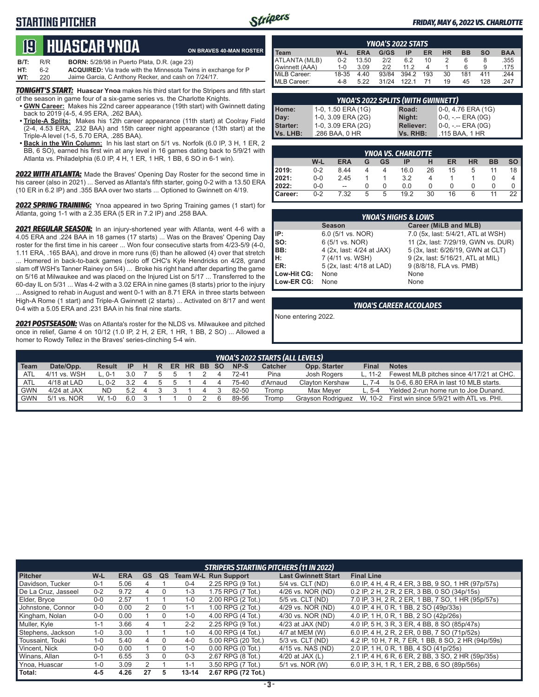### **STARTING PITCHER**



**ON BRAVES 40-MAN ROSTER**

#### *FRIDAY, MAY 6, 2022 VS. CHARLOTTE*

# **19****Huascar ynoa**

| B/T: | R/R | <b>BORN:</b> 5/28/98 in Puerto Plata, D.R. (age 23)                   |
|------|-----|-----------------------------------------------------------------------|
| HT:  | հ-2 | <b>ACQUIRED:</b> Via trade with the Minnesota Twins in exchange for P |
| WT:  | 220 | Jaime Garcia, C Anthony Recker, and cash on 7/24/17.                  |

**TONIGHT'S START:** Huascar Ynoa makes his third start for the Stripers and fifth start of the season in game four of a six-game series vs. the Charlotte Knights.

- **• GWN Career:** Makes his 22nd career appearance (19th start) with Gwinnett dating back to 2019 (4-5, 4.95 ERA, .262 BAA).
- **• Triple-A Splits:** Makes his 12th career appearance (11th start) at Coolray Field (2-4, 4.53 ERA, .232 BAA) and 15th career night appearance (13th start) at the Triple-A level (1-5, 5.70 ERA, .285 BAA).
- **• Back in the Win Column:** In his last start on 5/1 vs. Norfolk (6.0 IP, 3 H, 1 ER, 2 BB, 6 SO), earned his first win at any level in 16 games dating back to 5/9/21 with Atlanta vs. Philadelphia (6.0 IP, 4 H, 1 ER, 1 HR, 1 BB, 6 SO in 6-1 win).

*2022 WITH ATLANTA:* Made the Braves' Opening Day Roster for the second time in his career (also in 2021) ... Served as Atlanta's fifth starter, going 0-2 with a 13.50 ERA (10 ER in 6.2 IP) and .355 BAA over two starts ... Optioned to Gwinnett on 4/19.

*2022 SPRING TRAINING:* Ynoa appeared in two Spring Training games (1 start) for Atlanta, going 1-1 with a 2.35 ERA (5 ER in 7.2 IP) and .258 BAA.

*2021 REGULAR SEASON:* In an injury-shortened year with Atlanta, went 4-6 with a 4.05 ERA and .224 BAA in 18 games (17 starts) ... Was on the Braves' Opening Day roster for the first time in his career ... Won four consecutive starts from 4/23-5/9 (4-0, 1.11 ERA, .165 BAA), and drove in more runs (6) than he allowed (4) over that stretch ... Homered in back-to-back games (solo off CHC's Kyle Hendricks on 4/28, grand slam off WSH's Tanner Rainey on 5/4) ... Broke his right hand after departing the game on 5/16 at Milwaukee and was placed on the Injured List on 5/17 ... Transferred to the 60-day IL on 5/31 ... Was 4-2 with a 3.02 ERA in nine games (8 starts) prior to the injury ... Assigned to rehab in August and went 0-1 with an 8.71 ERA in three starts between High-A Rome (1 start) and Triple-A Gwinnett (2 starts) ... Activated on 8/17 and went 0-4 with a 5.05 ERA and .231 BAA in his final nine starts.

*2021 POSTSEASON:* Was on Atlanta's roster for the NLDS vs. Milwaukee and pitched once in relief, Game 4 on 10/12 (1.0 IP, 2 H, 2 ER, 1 HR, 1 BB, 2 SO) ... Allowed a homer to Rowdy Tellez in the Braves' series-clinching 5-4 win.

|                     | <b>YNOA'S 2022 STATS</b> |            |       |       |     |    |           |           |            |  |
|---------------------|--------------------------|------------|-------|-------|-----|----|-----------|-----------|------------|--|
| Team                | W-L                      | <b>ERA</b> | G/GS  | IP    | ER  | НR | <b>BB</b> | <b>SO</b> | <b>BAA</b> |  |
| ATLANTA (MLB)       | $0 - 2$                  | 13.50      | 212   | 6.2   | 10  |    | 6         | 8         | .355       |  |
| Gwinnett (AAA)      | $1 - 0$                  | 3.09       | 212   | 11 2  |     |    | 6         | 9         | 175        |  |
| <b>MiLB Career:</b> | 18-35                    | 4.40       | 93/84 | 394.2 | 193 | 30 | 181       | 411       | 244        |  |
| MLB Career:         | $4 - 8$                  | 5.22       | 31/24 | 122   |     | 19 | 45        | 128       | 247        |  |

| YNOA'S 2022 SPLITS (WITH GWINNETT) |                    |                  |                       |  |  |  |  |  |  |  |
|------------------------------------|--------------------|------------------|-----------------------|--|--|--|--|--|--|--|
| Home:<br>Day:<br>Starter:          | 1-0, 1.50 ERA (1G) | Road:            | $0-0$ , 4.76 ERA (1G) |  |  |  |  |  |  |  |
|                                    | 1-0, 3.09 ERA (2G) | Night:           | $0-0, - -$ ERA $(0G)$ |  |  |  |  |  |  |  |
|                                    | 1-0, 3.09 ERA (2G) | <b>Reliever:</b> | $0-0, - -$ ERA $(0G)$ |  |  |  |  |  |  |  |
| Vs. LHB:                           | .286 BAA, 0 HR     | Vs. RHB:         | .115 BAA, 1 HR        |  |  |  |  |  |  |  |

|                  | <b>YNOA VS. CHARLOTTE</b> |            |   |    |      |    |    |           |           |      |  |  |
|------------------|---------------------------|------------|---|----|------|----|----|-----------|-----------|------|--|--|
|                  | W-L                       | <b>ERA</b> | G | GS | IP   | н  | ER | <b>HR</b> | <b>BB</b> | so l |  |  |
| 2019:            | $0 - 2$                   | 8.44       |   |    | 16.0 | 26 | 15 | 5         | 11        | 18   |  |  |
| 12021:           | $0-0$                     | 2.45       |   |    | 3.2  |    |    |           |           | 4    |  |  |
| 12022:           | $0-0$                     | --         |   | 0  | 0.0  |    |    | 0         |           |      |  |  |
| <b>I</b> Career: | $0 - 2$                   | 7.32       | 5 | 5  | 19.2 | 30 | 16 | 6         |           | 22   |  |  |

|                 | <b>YNOA'S HIGHS &amp; LOWS</b> |                                     |  |  |  |  |  |  |  |  |
|-----------------|--------------------------------|-------------------------------------|--|--|--|--|--|--|--|--|
|                 | <b>Season</b>                  | Career (MiLB and MLB)               |  |  |  |  |  |  |  |  |
| l IP:           | 6.0 (5/1 vs. NOR)              | 7.0 (5x, last: 5/4/21, ATL at WSH)  |  |  |  |  |  |  |  |  |
| $\mathsf{Iso}:$ | 6 (5/1 vs. NOR)                | 11 (2x, last: 7/29/19, GWN vs. DUR) |  |  |  |  |  |  |  |  |
| BB:             | 4 (2x, last: 4/24 at JAX)      | 5 (3x, last: 6/26/19, GWN at CLT)   |  |  |  |  |  |  |  |  |
| IH:             | 7 (4/11 vs. WSH)               | 9 (2x, last: 5/16/21, ATL at MIL)   |  |  |  |  |  |  |  |  |
| ER:             | 5 (2x, last: 4/18 at LAD)      | 9 (8/8/18, FLA vs. PMB)             |  |  |  |  |  |  |  |  |
| Low-Hit CG:     | None                           | None                                |  |  |  |  |  |  |  |  |
| Low-ER CG:      | None                           | None                                |  |  |  |  |  |  |  |  |

#### *YNOA'S CAREER ACCOLADES*

None entering 2022.

|        | <b>YNOA'S 2022 STARTS (ALL LEVELS)</b>                                                                                         |         |     |  |  |  |  |   |  |       |          |                   |           |                                                  |
|--------|--------------------------------------------------------------------------------------------------------------------------------|---------|-----|--|--|--|--|---|--|-------|----------|-------------------|-----------|--------------------------------------------------|
| l Team | Date/Opp.<br>NP-S<br><b>Catcher</b><br>Opp. Starter<br><b>Notes</b><br><b>Final</b><br>ER HR BB SO<br>Result<br>н<br>- IP<br>R |         |     |  |  |  |  |   |  |       |          |                   |           |                                                  |
| ∥ ATL  | 4/11 vs. WSH                                                                                                                   | $0 - 1$ | 3.0 |  |  |  |  |   |  | 72-41 | Pina     | Josh Rogers       | L. 11-2   | Fewest MLB pitches since 4/17/21 at CHC.         |
| I ATL  | 4/18 at LAD                                                                                                                    | 0-2     | 3.2 |  |  |  |  | 4 |  | 75-40 | d'Arnaud | Clavton Kershaw   | $L.7 - 4$ | Is 0-6, 6.80 ERA in last 10 MLB starts.          |
| I GWN  | 4/24 at JAX                                                                                                                    | ND.     | 5.2 |  |  |  |  |   |  | 82-50 | Tromp    | Max Mever         | L. 5-4    | Yielded 2-run home run to Joe Dunand.            |
| I GWN  | 5/1 vs. NOR                                                                                                                    | W. 1-0  | 6.0 |  |  |  |  |   |  | 89-56 | Tromp    | Gravson Rodriguez |           | W, 10-2 First win since 5/9/21 with ATL vs. PHI. |
|        |                                                                                                                                |         |     |  |  |  |  |   |  |       |          |                   |           |                                                  |

|                     | <b>STRIPERS STARTING PITCHERS (11 IN 2022)</b> |            |    |    |           |                             |                            |                                                     |  |  |  |  |
|---------------------|------------------------------------------------|------------|----|----|-----------|-----------------------------|----------------------------|-----------------------------------------------------|--|--|--|--|
| <b>Pitcher</b>      | W-L                                            | <b>ERA</b> | GS | QS |           | <b>Team W-L Run Support</b> | <b>Last Gwinnett Start</b> | <b>Final Line</b>                                   |  |  |  |  |
| Davidson, Tucker    | $0 - 1$                                        | 5.06       |    |    | $0 - 4$   | 2.25 RPG (9 Tot.)           | 5/4 vs. CLT (ND)           | 6.0 IP, 4 H, 4 R, 4 ER, 3 BB, 9 SO, 1 HR (97p/57s)  |  |  |  |  |
| De La Cruz, Jasseel | $0 - 2$                                        | 9.72       | 4  |    | $1 - 3$   | 1.75 RPG (7 Tot.)           | 4/26 vs. NOR (ND)          | 0.2 IP, 2 H, 2 R, 2 ER, 3 BB, 0 SO (34p/15s)        |  |  |  |  |
| Elder, Bryce        | $0 - 0$                                        | 2.57       |    |    | $1 - 0$   | 2.00 RPG (2 Tot.)           | 5/5 vs. CLT (ND)           | 7.0 IP, 3 H, 2 R, 2 ER, 1 BB, 7 SO, 1 HR (95p/57s)  |  |  |  |  |
| Johnstone, Connor   | $0 - 0$                                        | 0.00       |    |    | $1 - 1$   | 1.00 RPG (2 Tot.)           | 4/29 vs. NOR (ND)          | 4.0 IP, 4 H, 0 R, 1 BB, 2 SO (49p/33s)              |  |  |  |  |
| Kingham, Nolan      | $0-0$                                          | 0.00       |    |    | $1 - 0$   | 4.00 RPG (4 Tot.)           | 4/30 vs. NOR (ND)          | 4.0 IP, 1 H, 0 R, 1 BB, 2 SO (42p/26s)              |  |  |  |  |
| Muller, Kyle        | 1-1                                            | 3.66       |    |    | $2 - 2$   | 2.25 RPG (9 Tot.)           | $4/23$ at JAX (ND)         | 4.0 IP, 5 H, 3 R, 3 ER, 4 BB, 8 SO (85p/47s)        |  |  |  |  |
| Stephens, Jackson   | $1-0$                                          | 3.00       |    |    | $1-0$     | 4.00 RPG (4 Tot.)           | 4/7 at MEM (W)             | 6.0 IP, 4 H, 2 R, 2 ER, 0 BB, 7 SO (71p/52s)        |  |  |  |  |
| Toussaint, Touki    | 1-0                                            | 5.40       | 4  |    | 4-0       | 5.00 RPG (20 Tot.)          | 5/3 vs. CLT (ND)           | 4.2 IP, 10 H, 7 R, 7 ER, 1 BB, 8 SO, 2 HR (94p/59s) |  |  |  |  |
| Vincent, Nick       | $0 - 0$                                        | 0.00       |    |    | $1 - 0$   | $0.00$ RPG $(0$ Tot.)       | 4/15 vs. NAS (ND)          | 2.0 IP, 1 H, 0 R, 1 BB, 4 SO (41p/25s)              |  |  |  |  |
| Winans, Allan       | $0 - 1$                                        | 6.55       |    |    | $0 - 3$   | 2.67 RPG (8 Tot.)           | $4/20$ at JAX $(L)$        | 2.1 IP, 4 H, 6 R, 6 ER, 2 BB, 3 SO, 2 HR (59p/35s)  |  |  |  |  |
| Ynoa, Huascar       | 1-0                                            | 3.09       |    |    | $1 - 1$   | 3.50 RPG (7 Tot.)           | 5/1 vs. NOR (W)            | 6.0 IP, 3 H, 1 R, 1 ER, 2 BB, 6 SO (89p/56s)        |  |  |  |  |
| Total:              | $4 - 5$                                        | 4.26       | 27 | 5. | $13 - 14$ | 2.67 RPG (72 Tot.)          |                            |                                                     |  |  |  |  |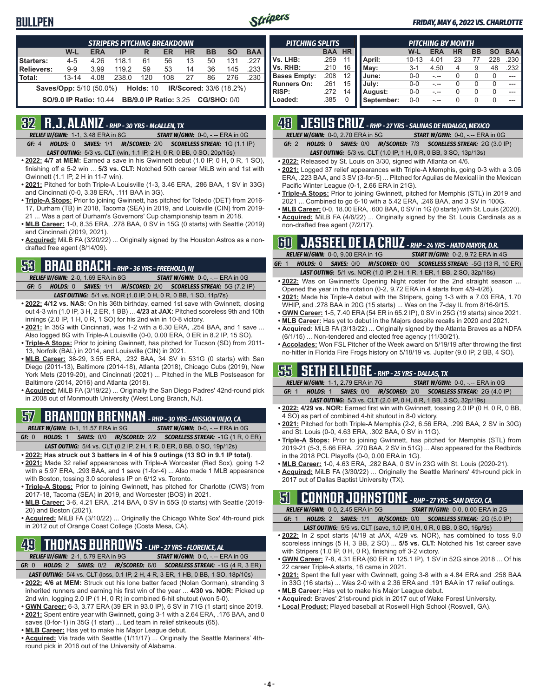### **BULLPEN**



#### *FRIDAY, MAY 6, 2022 VS. CHARLOTTE*

|                                                                               | <b>STRIPERS PITCHING BREAKDOWN</b>                                        |            |       |     |     |           |           |           |            |  |  |  |
|-------------------------------------------------------------------------------|---------------------------------------------------------------------------|------------|-------|-----|-----|-----------|-----------|-----------|------------|--|--|--|
|                                                                               | W-L                                                                       | <b>ERA</b> | IP    | R   | ER  | <b>HR</b> | <b>BB</b> | <b>SO</b> | <b>BAA</b> |  |  |  |
| Starters:                                                                     | $4 - 5$                                                                   | 4.26       | 118.1 | 61  | 56  | 13        | 50        | 131       | 227        |  |  |  |
| <b>Relievers:</b>                                                             | $9 - 9$                                                                   | 3.99       | 119.2 | 59  | 53  | 14        | 36        | 145       | .233       |  |  |  |
| Total:                                                                        | $13 - 14$                                                                 | 4.08       | 238.0 | 120 | 108 | 27        | 86        | 276       | .230       |  |  |  |
| <b>Saves/Opp:</b> 5/10 (50.0%)<br><b>Holds: 10</b><br>IR/Scored: 33/6 (18.2%) |                                                                           |            |       |     |     |           |           |           |            |  |  |  |
|                                                                               | <b>BB/9.0 IP Ratio: 3.25 CG/SHO: 0/0</b><br><b>SO/9.0 IP Ratio: 10.44</b> |            |       |     |     |           |           |           |            |  |  |  |

### **32 R.J. ALANIZ** *- RHP - 30 YRS - McALLEN, TX*

*RELIEF W/GWN:*1-1, 3.48 ERA in 8G *START W/GWN:*0-0, -.-- ERA in 0G *GF:*4 *HOLDS:*0 *SAVES:*1/1 *IR/SCORED:*2/0 *SCORELESS STREAK:*1G (1.1 IP)

*LAST OUTING:*5/3 vs. CLT (win, 1.1 IP, 2 H, 0 R, 0 BB, 0 SO, 20p/15s)

- **• 2022: 4/7 at MEM:** Earned a save in his Gwinnett debut (1.0 IP, 0 H, 0 R, 1 SO), finishing off a 5-2 win ... **5/3 vs. CLT:** Notched 50th career MiLB win and 1st with Gwinnett (1.1 IP, 2 H in 11-7 win).
- **• 2021:** Pitched for both Triple-A Louisville (1-3, 3.46 ERA, .286 BAA, 1 SV in 33G) and Cincinnati (0-0, 3.38 ERA, .111 BAA in 3G).
- **• Triple-A Stops:** Prior to joining Gwinnett, has pitched for Toledo (DET) from 2016- 17, Durham (TB) in 2018, Tacoma (SEA) in 2019, and Louisville (CIN) from 2019- 21 ... Was a part of Durham's Governors' Cup championship team in 2018.
- **• MLB Career:** 1-0, 8.35 ERA, .278 BAA, 0 SV in 15G (0 starts) with Seattle (2019) and Cincinnati (2019, 2021).
- **• Acquired:** MiLB FA (3/20/22) ... Originally signed by the Houston Astros as a nondrafted free agent (8/14/09).

### **53 BRAD BRACH** *- RHP - 36 YRS - FREEHOLD, NJ*

*RELIEF W/GWN:*2-0, 1.69 ERA in 8G *START W/GWN:*0-0, -.-- ERA in 0G *GF:*5 *HOLDS:*0 *SAVES:*1/1 *IR/SCORED:*2/0 *SCORELESS STREAK:*5G (7.2 IP) *LAST OUTING:*5/1 vs. NOR (1.0 IP, 0 H, 0 R, 0 BB, 1 SO, 11p/7s)

- **• 2022: 4/12 vs. NAS:** On his 36th birthday, earned 1st save with Gwinnett, closing out 4-3 win (1.0 IP, 3 H, 2 ER, 1 BB) ... **4/23 at JAX:** Pitched scoreless 9th and 10th innings (2.0 IP, 1 H, 0 R, 1 SO) for his 2nd win in 10-8 victory.
- **• 2021:** In 35G with Cincinnati, was 1-2 with a 6.30 ERA, .254 BAA, and 1 save ... Also logged 8G with Triple-A Louisville (0-0, 0.00 ERA, 0 ER in 8.2 IP, 15 SO).
- **• Triple-A Stops:** Prior to joining Gwinnett, has pitched for Tucson (SD) from 2011- 13, Norfolk (BAL) in 2014, and Louisville (CIN) in 2021.
- **• MLB Career:** 38-29, 3.55 ERA, .232 BAA, 34 SV in 531G (0 starts) with San Diego (2011-13), Baltimore (2014-18), Atlanta (2018), Chicago Cubs (2019), New York Mets (2019-20), and Cincinnati (2021) ... Pitched in the MLB Postseason for Baltimore (2014, 2016) and Atlanta (2018).
- **• Acquired:** MiLB FA (3/19/22) ... Originally the San Diego Padres' 42nd-round pick in 2008 out of Monmouth University (West Long Branch, NJ).

# **57 BRANDON BRENNAN** *- RHP - 30 YRS - MISSION VIEJO, CA*

*RELIEF W/GWN:*0-1, 11.57 ERA in 9G *START W/GWN:*0-0, -.-- ERA in 0G *GF:*0 *HOLDS:*1 *SAVES:*0/0 *IR/SCORED:*2/2 *SCORELESS STREAK:*-1G (1 R, 0 ER) *LAST OUTING:*5/4 vs. CLT (0.2 IP, 2 H, 1 R, 0 ER, 0 BB, 0 SO, 19p/12s)

- **• 2022: Has struck out 3 batters in 4 of his 9 outings (13 SO in 9.1 IP total)**. **• 2021:** Made 32 relief appearances with Triple-A Worcester (Red Sox), going 1-2 with a 5.97 ERA, .293 BAA, and 1 save (1-for-4) ... Also made 1 MLB appearance
- with Boston, tossing 3.0 scoreless IP on 6/12 vs. Toronto. **• Triple-A Stops:** Prior to joining Gwinnett, has pitched for Charlotte (CWS) from 2017-18, Tacoma (SEA) in 2019, and Worcester (BOS) in 2021.
- **• MLB Career:** 3-6, 4.21 ERA, .214 BAA, 0 SV in 55G (0 starts) with Seattle (2019- 20) and Boston (2021).
- **• Acquired:** MiLB FA (3/10/22) ... Originally the Chicago White Sox' 4th-round pick in 2012 out of Orange Coast College (Costa Mesa, CA).

# **49 THOMAS BURROWS** *- LHP - 27 YRS - FLORENCE, AL*

*RELIEF W/GWN:*2-1, 5.79 ERA in 9G *START W/GWN:*0-0, -.-- ERA in 0G

- *GF:*0 *HOLDS:*2 *SAVES:*0/2 *IR/SCORED:*6/0 *SCORELESS STREAK:*-1G (4 R, 3 ER) *LAST OUTING:*5/4 vs. CLT (loss, 0.1 IP, 2 H, 4 R, 3 ER, 1 HB, 0 BB, 1 SO, 18p/10s)
- **• 2022: 4/6 at MEM:** Struck out his lone batter faced (Nolan Gorman), stranding 3 inherited runners and earning his first win of the year ... **4/30 vs. NOR:** Picked up 2nd win, logging 2.0 IP (1 H, 0 R) in combined 6-hit shutout (won 5-0).
- **• GWN Career:** 6-3, 3.77 ERA (39 ER in 93.0 IP), 6 SV in 71G (1 start) since 2019.
- **• 2021:** Spent entire year with Gwinnett, going 3-1 with a 2.64 ERA, .176 BAA, and 0 saves (0-for-1) in 35G (1 start) ... Led team in relief strikeouts (65).
- **• MLB Career:** Has yet to make his Major League debut.
- **• Acquired:** Via trade with Seattle (1/11/17) ... Originally the Seattle Mariners' 4thround pick in 2016 out of the University of Alabama.

| <b>PITCHING SPLITS</b> |            |           |            | <b>PITCHING BY MONTH</b> |            |           |           |           |            |  |  |
|------------------------|------------|-----------|------------|--------------------------|------------|-----------|-----------|-----------|------------|--|--|
|                        | <b>BAA</b> | <b>HR</b> |            | W-L                      | <b>ERA</b> | <b>HR</b> | <b>BB</b> | <b>SO</b> | <b>BAA</b> |  |  |
| Vs. LHB:               | .259       | 11        | April:     | $10 - 13$                | 4.01       | 23        | 77        | 228       | 230        |  |  |
| Vs. RHB:               | .210       | 16        | Mav:       | $3 - 1$                  | 4.50       | 4         | 9         | 48        | .232       |  |  |
| <b>Bases Empty:</b>    | .208       | 12        | June:      | $0 - 0$                  |            |           | Ω         | $\Omega$  |            |  |  |
| <b>Runners On:</b>     | .261       | 15        | July:      | $0 - 0$                  |            |           |           | 0         |            |  |  |
| <b>RISP:</b>           | .272       | 14        | August:    | $0 - 0$                  |            |           | $\Omega$  | 0         |            |  |  |
| Loaded:                | .385       |           | September: | $0 - 0$                  |            |           | U         | O         |            |  |  |

## **48 JESUS CRUZ** *- RHP - 27 YRS - SALINAS DE HIDALGO, MEXICO*

*RELIEF W/GWN:*0-0, 2.70 ERA in 5G *START W/GWN:*0-0, -.-- ERA in 0G

*GF:*2 *HOLDS:*0 *SAVES:*0/0 *IR/SCORED:*7/3 *SCORELESS STREAK:*2G (3.0 IP)

*LAST OUTING:*5/3 vs. CLT (1.0 IP, 1 H, 0 R, 0 BB, 3 SO, 13p/13s)

**• 2022:** Released by St. Louis on 3/30, signed with Atlanta on 4/6.

- **• 2021:** Logged 37 relief appearances with Triple-A Memphis, going 0-3 with a 3.06 ERA, .223 BAA, and 3 SV (3-for-5) ... Pitched for Aguilas de Mexicali in the Mexican Pacific Winter League (0-1, 2.66 ERA in 21G).
- **• Triple-A Stops:** Prior to joining Gwinnett, pitched for Memphis (STL) in 2019 and 2021 ... Combined to go 6-10 with a 5.42 ERA, .246 BAA, and 3 SV in 100G.
- **• MLB Career:** 0-0, 18.00 ERA, .600 BAA, 0 SV in 1G (0 starts) with St. Louis (2020).
- **• Acquired:** MiLB FA (4/6/22) ... Originally signed by the St. Louis Cardinals as a non-drafted free agent (7/2/17).

|       |                 | <b>RT JASSEEL DE LA CRUZ</b> - RHP - 24 YRS - HATO MAYOR, D.R.                |  |                                         |  |  |
|-------|-----------------|-------------------------------------------------------------------------------|--|-----------------------------------------|--|--|
|       |                 | <b>RELIEF W/GWN: 0-0. 9.00 ERA in 1G</b>                                      |  | <b>START W/GWN: 0-2. 9.72 ERA in 4G</b> |  |  |
| GF: 1 | <b>HOLDS:</b> 0 | <b>SAVES: 0/0 IR/SCORED: 0/0 SCORELESS STREAK: -5G (13 R, 10 ER)</b>          |  |                                         |  |  |
|       |                 | <b>LAST OUTING:</b> 5/1 vs. NOR (1.0 IP, 2 H, 1 R, 1 ER, 1 BB, 2 SO, 32p/18s) |  |                                         |  |  |

- **• 2022:** Was on Gwinnett's Opening Night roster for the 2nd straight season ... Opened the year in the rotation (0-2, 9.72 ERA in 4 starts from 4/9-4/26).
- **• 2021:** Made his Triple-A debut with the Stripers, going 1-3 with a 7.03 ERA, 1.70
- WHIP, and .278 BAA in 20G (15 starts) ... Was on the 7-day IL from 8/16-9/15. **• GWN Career:** 1-5, 7.40 ERA (54 ER in 65.2 IP), 0 SV in 25G (19 starts) since 2021.
- **• MLB Career:** Has yet to debut in the Majors despite recalls in 2020 and 2021.
- **• Acquired:** MiLB FA (3/13/22) ... Originally signed by the Atlanta Braves as a NDFA (6/1/15) ... Non-tendered and elected free agency (11/30/21).

**• Accolades:** Won FSL Pitcher of the Week award on 5/19/19 after throwing the first no-hitter in Florida Fire Frogs history on 5/18/19 vs. Jupiter (9.0 IP, 2 BB, 4 SO).

### **55 SETH ELLEDGE** *- RHP - 25 YRS - DALLAS, TX*

*RELIEF W/GWN:*1-1, 2.79 ERA in 7G *START W/GWN:*0-0, -.-- ERA in 0G *GF:*1 *HOLDS:*1 *SAVES:*0/0 *IR/SCORED:*2/0 *SCORELESS STREAK:*2G (4.0 IP)

- *LAST OUTING:*5/3 vs. CLT (2.0 IP, 0 H, 0 R, 1 BB, 3 SO, 32p/19s) **• 2022: 4/29 vs. NOR:** Earned first win with Gwinnett, tossing 2.0 IP (0 H, 0 R, 0 BB,
- 4 SO) as part of combined 4-hit shutout in 8-0 victory. **• 2021:** Pitched for both Triple-A Memphis (2-2, 6.56 ERA, .299 BAA, 2 SV in 30G) and St. Louis (0-0, 4.63 ERA, .302 BAA, 0 SV in 11G).
- **• Triple-A Stops:** Prior to joining Gwinnett, has pitched for Memphis (STL) from 2019-21 (5-3, 5.66 ERA, .270 BAA, 2 SV in 51G) ... Also appeared for the Redbirds in the 2018 PCL Playoffs (0-0, 0.00 ERA in 1G).
- **• MLB Career:** 1-0, 4.63 ERA, .282 BAA, 0 SV in 23G with St. Louis (2020-21).
- **• Acquired:** MiLB FA (3/30/22) ... Originally the Seattle Mariners' 4th-round pick in 2017 out of Dallas Baptist University (TX).

### **51 CONNOR JOHNSTONE** *- RHP - 27 YRS - SAN DIEGO, CA*

*RELIEF W/GWN:*0-0, 2.45 ERA in 5G *START W/GWN:*0-0, 0.00 ERA in 2G *GF:*1 *HOLDS:*2 *SAVES:*1/1 *IR/SCORED:*0/0 *SCORELESS STREAK:*2G (5.0 IP)

- *LAST OUTING:*5/5 vs. CLT (save, 1.0 IP, 0 H, 0 R, 0 BB, 0 SO, 16p/9s)
- **• 2022:** In 2 spot starts (4/19 at JAX, 4/29 vs. NOR), has combined to toss 9.0 scoreless innings (5 H, 3 BB, 2 SO) ... **5/5 vs. CLT:** Notched his 1st career save with Stripers (1.0 IP, 0 H, 0 R), finishing off 3-2 victory.
- **• GWN Career:** 7-8, 4.31 ERA (60 ER in 125.1 IP), 1 SV in 52G since 2018 ... Of his 22 career Triple-A starts, 16 came in 2021.
- **• 2021:** Spent the full year with Gwinnett, going 3-8 with a 4.84 ERA and .258 BAA in 33G (16 starts) ... Was 2-0 with a 2.36 ERA and .191 BAA in 17 relief outings.
	- **• MLB Career:** Has yet to make his Major League debut.
	- **• Acquired:** Braves' 21st-round pick in 2017 out of Wake Forest University.
	- **• Local Product:** Played baseball at Roswell High School (Roswell, GA).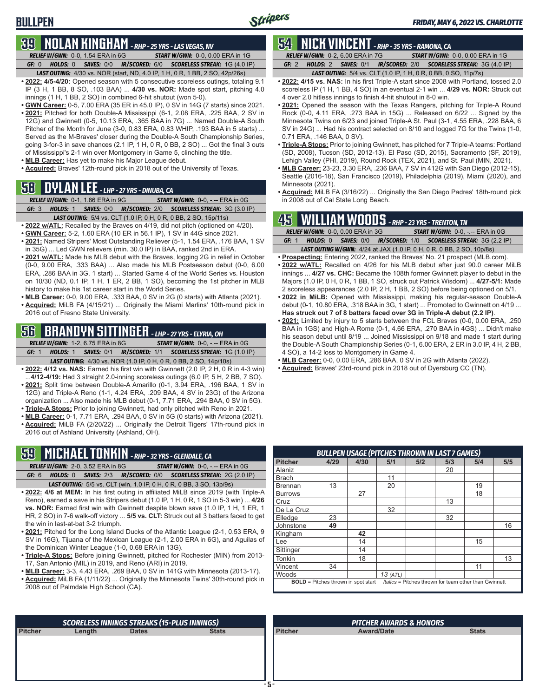# **39 NOLAN KINGHAM** *- RHP - 25 YRS - LAS VEGAS, NV*

**BULLPEN**

*RELIEF W/GWN:*0-0, 1.54 ERA in 6G *START W/GWN:*0-0, 0.00 ERA in 1G *GF:*0 *HOLDS:*0 *SAVES:*0/0 *IR/SCORED:*6/0 *SCORELESS STREAK:*1G (4.0 IP) *LAST OUTING:*4/30 vs. NOR (start, ND, 4.0 IP, 1 H, 0 R, 1 BB, 2 SO, 42p/26s)

- **• 2022: 4/5-4/20:** Opened season with 5 consecutive scoreless outings, totaling 9.1 IP (3 H, 1 BB, 8 SO, .103 BAA) ... **4/30 vs. NOR:** Made spot start, pitching 4.0 innings (1 H, 1 BB, 2 SO) in combined 6-hit shutout (won 5-0).
- **• GWN Career:** 0-5, 7.00 ERA (35 ER in 45.0 IP), 0 SV in 14G (7 starts) since 2021. **• 2021:** Pitched for both Double-A Mississippi (6-1, 2.08 ERA, .225 BAA, 2 SV in 12G) and Gwinnett (0-5, 10.13 ERA, .365 BAA in 7G) ... Named Double-A South Pitcher of the Month for June (3-0, 0.83 ERA, 0.83 WHIP, .193 BAA in 5 starts) ... Served as the M-Braves' closer during the Double-A South Championship Series, going 3-for-3 in save chances (2.1 IP, 1 H, 0 R, 0 BB, 2 SO) ... Got the final 3 outs of Mississippi's 2-1 win over Montgomery in Game 5, clinching the title.
- **• MLB Career:** Has yet to make his Major League debut.
- **• Acquired:** Braves' 12th-round pick in 2018 out of the University of Texas.

### **58 DYLAN LEE** *- LHP - 27 YRS - DINUBA, CA*

- *RELIEF W/GWN:*0-1, 1.86 ERA in 9G *START W/GWN:*0-0, -.-- ERA in 0G
- *GF:*3 *HOLDS:*1 *SAVES:*0/0 *IR/SCORED:*2/0 *SCORELESS STREAK:*3G (3.0 IP) *LAST OUTING:*5/4 vs. CLT (1.0 IP, 0 H, 0 R, 0 BB, 2 SO, 15p/11s)
- **• 2022 w/ATL:** Recalled by the Braves on 4/19, did not pitch (optioned on 4/20).
- **• GWN Career:** 5-2, 1.60 ERA (10 ER in 56.1 IP), 1 SV in 44G since 2021.
- **• 2021:** Named Stripers' Most Outstanding Reliever (5-1, 1.54 ERA, .176 BAA, 1 SV in 35G) ... Led GWN relievers (min. 30.0 IP) in BAA, ranked 2nd in ERA.
- **• 2021 w/ATL:** Made his MLB debut with the Braves, logging 2G in relief in October (0-0, 9.00 ERA, .333 BAA) ... Also made his MLB Postseason debut (0-0, 6.00 ERA, .286 BAA in 3G, 1 start) ... Started Game 4 of the World Series vs. Houston on 10/30 (ND, 0.1 IP, 1 H, 1 ER, 2 BB, 1 SO), becoming the 1st pitcher in MLB history to make his 1st career start in the World Series.
- **• MLB Career:** 0-0, 9.00 ERA, .333 BAA, 0 SV in 2G (0 starts) with Atlanta (2021). **• Acquired:** MiLB FA (4/15/21) ... Originally the Miami Marlins' 10th-round pick in 2016 out of Fresno State University.

### **56 BRANDYN SITTINGER** *- LHP - 27 YRS - ELYRIA, OH*

*RELIEF W/GWN:*1-2, 6.75 ERA in 8G *START W/GWN:*0-0, -.-- ERA in 0G *GF:*1 *HOLDS:*1 *SAVES:*0/1 *IR/SCORED:*1/1 *SCORELESS STREAK:*1G (1.0 IP)

- *LAST OUTING:*4/30 vs. NOR (1.0 IP, 0 H, 0 R, 0 BB, 2 SO, 14p/10s) **• 2022: 4/12 vs. NAS:** Earned his first win with Gwinnett (2.0 IP, 2 H, 0 R in 4-3 win) ...**4/12-4/19:** Had 3 straight 2.0-inning scoreless outings (6.0 IP, 5 H, 2 BB, 7 SO).
- 2021: Split time between Double-A Amarillo (0-1, 3.94 ERA, .196 BAA, 1 SV in 12G) and Triple-A Reno (1-1, 4.24 ERA, .209 BAA, 4 SV in 23G) of the Arizona organization ... Also made his MLB debut (0-1, 7.71 ERA, .294 BAA, 0 SV in 5G).
- **• Triple-A Stops:** Prior to joining Gwinnett, had only pitched with Reno in 2021.
- **• MLB Career:** 0-1, 7.71 ERA, .294 BAA, 0 SV in 5G (0 starts) with Arizona (2021). **• Acquired:** MiLB FA (2/20/22) ... Originally the Detroit Tigers' 17th-round pick in 2016 out of Ashland University (Ashland, OH).

### **59 MICHAEL TONKIN** *- RHP - 32 YRS - GLENDALE, CA*

*RELIEF W/GWN:*2-0, 3.52 ERA in 8G *START W/GWN:*0-0, -.-- ERA in 0G *GF:*6 *HOLDS:*0 *SAVES:*2/3 *IR/SCORED:*0/0 *SCORELESS STREAK:*2G (2.0 IP)

- *LAST OUTING:*5/5 vs. CLT (win, 1.0 IP, 0 H, 0 R, 0 BB, 3 SO, 13p/9s)
- **• 2022: 4/6 at MEM:** In his first outing in affiliated MiLB since 2019 (with Triple-A Reno), earned a save in his Stripers debut (1.0 IP, 1 H, 0 R, 1 SO in 5-3 win) ... **4/26 vs. NOR:** Earned first win with Gwinnett despite blown save (1.0 IP, 1 H, 1 ER, 1 HR, 2 SO) in 7-6 walk-off victory ... **5/5 vs. CLT:** Struck out all 3 batters faced to get the win in last-at-bat 3-2 triumph.
- **• 2021:** Pitched for the Long Island Ducks of the Atlantic League (2-1, 0.53 ERA, 9 SV in 16G), Tijuana of the Mexican League (2-1, 2.00 ERA in 6G), and Aguilas of the Dominican Winter League (1-0, 0.68 ERA in 13G).
- **• Triple-A Stops:** Before joining Gwinnett, pitched for Rochester (MIN) from 2013- 17, San Antonio (MIL) in 2019, and Reno (ARI) in 2019.
- **• MLB Career:** 3-3, 4.43 ERA, .269 BAA, 0 SV in 141G with Minnesota (2013-17).
- **• Acquired:** MiLB FA (1/11/22) ... Originally the Minnesota Twins' 30th-round pick in 2008 out of Palmdale High School (CA).

#### *RELIEF W/GWN:*0-2, 6.00 ERA in 7G *START W/GWN:*0-0, 0.00 ERA in 1G *GF:*2 *HOLDS:*2 *SAVES:*0/1 *IR/SCORED:*2/0 *SCORELESS STREAK:*3G (4.0 IP)

*LAST OUTING:*5/4 vs. CLT (1.0 IP, 1 H, 0 R, 0 BB, 0 SO, 11p/7s)

**54 NICK VINCENT** *- RHP - 35 YRS - RAMONA, CA*

- **• 2022: 4/15 vs. NAS:** In his first Triple-A start since 2008 with Portland, tossed 2.0 scoreless IP (1 H, 1 BB, 4 SO) in an eventual 2-1 win ... **4/29 vs. NOR:** Struck out 4 over 2.0 hitless innings to finish 4-hit shutout in 8-0 win.
- **• 2021:** Opened the season with the Texas Rangers, pitching for Triple-A Round Rock (0-0, 4.11 ERA, .273 BAA in 15G) ... Released on 6/22 ... Signed by the Minnesota Twins on 6/23 and joined Triple-A St. Paul (3-1, 4.55 ERA, .228 BAA, 6 SV in 24G) ... Had his contract selected on 8/10 and logged 7G for the Twins (1-0, 0.71 ERA, .146 BAA, 0 SV).
- **• Triple-A Stops:** Prior to joining Gwinnett, has pitched for 7 Triple-A teams: Portland (SD, 2008), Tucson (SD, 2012-13), El Paso (SD, 2015), Sacramento (SF, 2019), Lehigh Valley (PHI, 2019), Round Rock (TEX, 2021), and St. Paul (MIN, 2021).
- **• MLB Career:** 23-23, 3.30 ERA, .236 BAA, 7 SV in 412G with San Diego (2012-15), Seattle (2016-18), San Francisco (2019), Philadelphia (2019), Miami (2020), and Minnesota (2021).
- **• Acquired:** MiLB FA (3/16/22) ... Originally the San Diego Padres' 18th-round pick in 2008 out of Cal State Long Beach.

### **45 WILLIAM WOODS** *- RHP - 23 YRS - TRENTON, TN*

|       | <b>RELIEF W/GWN: 0-0, 0.00 ERA in 3G</b> | <b>START W/GWN: 0-0, -.-- ERA in 0G</b>                                      |
|-------|------------------------------------------|------------------------------------------------------------------------------|
| GF: 1 |                                          | HOLDS: 0 SAVES: 0/0 IR/SCORED: 1/0 SCORELESS STREAK: 3G (2.2 IP)             |
|       |                                          | <b>LAST OUTING W/GWN:</b> 4/24 at JAX (1.0 IP, 0 H, 0 R, 0 BB, 2 SO, 10p/8s) |

- **• Prospecting:** Entering 2022, ranked the Braves' No. 21 prospect (MLB.com). **• 2022 w/ATL:** Recalled on 4/26 for his MLB debut after just 90.0 career MiLB
- innings ... **4/27 vs. CHC:** Became the 108th former Gwinnett player to debut in the Majors (1.0 IP, 0 H, 0 R, 1 BB, 1 SO, struck out Patrick Wisdom) ... **4/27-5/1:** Made 2 scoreless appearances (2.0 IP, 2 H, 1 BB, 2 SO) before being optioned on 5/1.
- **• 2022 in MiLB:** Opened with Mississippi, making his regular-season Double-A debut (0-1, 10.80 ERA, .318 BAA in 3G, 1 start) ... Promoted to Gwinnett on 4/19 ... **Has struck out 7 of 8 batters faced over 3G in Triple-A debut (2.2 IP)**.
- **• 2021:** Limited by injury to 5 starts between the FCL Braves (0-0, 0.00 ERA, .250 BAA in 1GS) and High-A Rome (0-1, 4.66 ERA, .270 BAA in 4GS) ... Didn't make his season debut until 8/19 ... Joined Mississippi on 9/18 and made 1 start during the Double-A South Championship Series (0-1, 6.00 ERA, 2 ER in 3.0 IP, 4 H, 2 BB, 4 SO), a 14-2 loss to Montgomery in Game 4.
- **• MLB Career:** 0-0, 0.00 ERA, .286 BAA, 0 SV in 2G with Atlanta (2022).
- **• Acquired:** Braves' 23rd-round pick in 2018 out of Dyersburg CC (TN).

|                                                                                                     | <b>BULLPEN USAGE (PITCHES THROWN IN LAST 7 GAMES)</b> |      |            |     |     |     |     |  |  |  |  |  |
|-----------------------------------------------------------------------------------------------------|-------------------------------------------------------|------|------------|-----|-----|-----|-----|--|--|--|--|--|
| <b>Pitcher</b>                                                                                      | 4/29                                                  | 4/30 | 5/1        | 5/2 | 5/3 | 5/4 | 5/5 |  |  |  |  |  |
| Alaniz                                                                                              |                                                       |      |            |     | 20  |     |     |  |  |  |  |  |
| <b>Brach</b>                                                                                        |                                                       |      | 11         |     |     |     |     |  |  |  |  |  |
| <b>Brennan</b>                                                                                      | 13                                                    |      | 20         |     |     | 19  |     |  |  |  |  |  |
| <b>Burrows</b>                                                                                      |                                                       | 27   |            |     |     | 18  |     |  |  |  |  |  |
| Cruz                                                                                                |                                                       |      |            |     | 13  |     |     |  |  |  |  |  |
| De La Cruz                                                                                          |                                                       |      | 32         |     |     |     |     |  |  |  |  |  |
| Elledge                                                                                             | 23                                                    |      |            |     | 32  |     |     |  |  |  |  |  |
| Johnstone                                                                                           | 49                                                    |      |            |     |     |     | 16  |  |  |  |  |  |
| Kingham                                                                                             |                                                       | 42   |            |     |     |     |     |  |  |  |  |  |
| Lee                                                                                                 |                                                       | 14   |            |     |     | 15  |     |  |  |  |  |  |
| Sittinger                                                                                           |                                                       | 14   |            |     |     |     |     |  |  |  |  |  |
| Tonkin                                                                                              |                                                       | 18   |            |     |     |     | 13  |  |  |  |  |  |
| Vincent                                                                                             | 34                                                    |      |            |     |     | 11  |     |  |  |  |  |  |
| Woods                                                                                               |                                                       |      | $13$ (ATL) |     |     |     |     |  |  |  |  |  |
| Italics = Pitches thrown for team other than Gwinnett<br><b>BOLD</b> = Pitches thrown in spot start |                                                       |      |            |     |     |     |     |  |  |  |  |  |

|                |                     | <b>SCORELESS INNINGS STREAKS (15-PLUS INNINGS)</b> |              |                | <b>PITCHER AWARDS &amp; HONORS</b> |              |
|----------------|---------------------|----------------------------------------------------|--------------|----------------|------------------------------------|--------------|
| <b>Pitcher</b> | Length <sup>®</sup> | <b>Dates</b>                                       | <b>Stats</b> | <b>Pitcher</b> | <b>Award/Date</b>                  | <b>Stats</b> |
|                |                     |                                                    |              |                |                                    |              |
|                |                     |                                                    |              |                |                                    |              |
|                |                     |                                                    |              |                |                                    |              |
|                |                     |                                                    |              |                |                                    |              |
|                |                     |                                                    |              |                |                                    |              |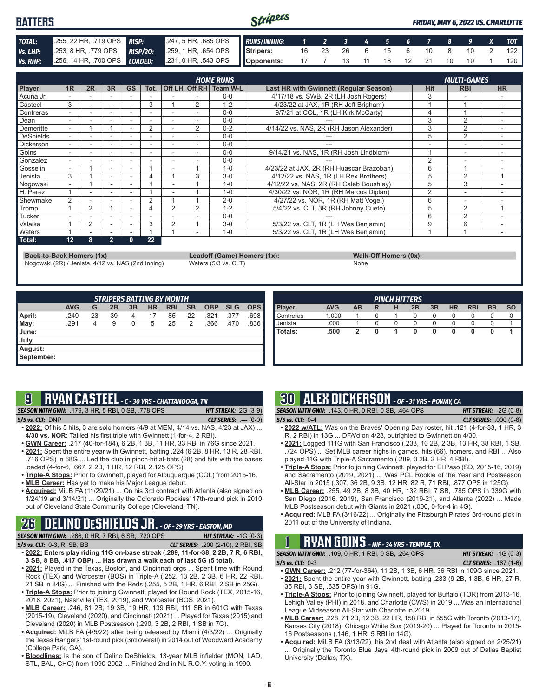#### Stripers **BATTERS** *FRIDAY, MAY 6, 2022 VS. CHARLOTTE TOTAL:* .255, 22 HR, .719 OPS *RISP:* .247, 5 HR, .685 OPS *RUNS/INNING: 1 2 3 4 5 6 7 8 9 X TOT Vs. LHP:* .253, 8 HR, .779 OPS *RISP/2O:* .259, 1 HR, .654 OPS **Stripers:** 16 23 26 6 15 6 10 8 10 2 122 *Vs. RHP:* .256, 14 HR, .700 OPS *LOADED:* .231, 0 HR, .543 OPS **Opponents:** 17 7 13 11 18 12 21 10 10 1 120

|               |                          |                |                          |                          |                          |                |                | <b>HOME RUNS</b> |                                          |                | <b>MULTI-GAMES</b>       |                |
|---------------|--------------------------|----------------|--------------------------|--------------------------|--------------------------|----------------|----------------|------------------|------------------------------------------|----------------|--------------------------|----------------|
| Player        | 1R                       | 2R             | 3R                       | <b>GS</b>                | Tot.                     |                | Off LH Off RH  | Team W-L         | Last HR with Gwinnett (Regular Season)   | <b>Hit</b>     | <b>RBI</b>               | <b>HR</b>      |
| Acuña Jr.     |                          |                |                          |                          |                          |                |                | $0 - 0$          | 4/17/18 vs. SWB, 2R (LH Josh Rogers)     | 3              |                          |                |
| Casteel       | 3                        |                | ۰                        | $\overline{\phantom{0}}$ | 3                        |                | 2              | $1 - 2$          | 4/23/22 at JAX, 1R (RH Jeff Brigham)     |                |                          |                |
| Contreras     |                          |                |                          |                          |                          |                |                | $0 - 0$          | 9/7/21 at COL, 1R (LH Kirk McCarty)      | 4              |                          |                |
| Dean          |                          |                |                          |                          |                          |                |                | $0 - 0$          |                                          | 3              | $\overline{2}$           | $\overline{a}$ |
| Demeritte     | $\overline{\phantom{0}}$ |                |                          |                          | 2                        |                | $\overline{2}$ | $0 - 2$          | 4/14/22 vs. NAS, 2R (RH Jason Alexander) | 3              | $\overline{2}$           |                |
| DeShields     |                          |                |                          |                          |                          |                |                | $0 - 0$          |                                          | 5              | $\overline{2}$           |                |
| Dickerson     | ۰.                       | ۰              | ٠                        | $\overline{\phantom{a}}$ | $\overline{\phantom{a}}$ | ۰              |                | $0 - 0$          |                                          |                | $\overline{\phantom{a}}$ |                |
| Goins         |                          |                |                          |                          |                          |                |                | $0 - 0$          | 9/14/21 vs. NAS, 1R (RH Josh Lindblom)   |                | $\overline{\phantom{a}}$ |                |
| Gonzalez      | ۰.                       |                |                          |                          |                          |                |                | $0 - 0$          |                                          | $\overline{2}$ |                          |                |
| Gosselin      | ۰.                       |                | ٠                        | $\overline{\phantom{a}}$ |                          | ÷,             |                | $1 - 0$          | 4/23/22 at JAX, 2R (RH Huascar Brazoban) | 6              |                          |                |
| Jenista       | 3                        |                |                          |                          |                          |                | 3              | $3-0$            | 4/12/22 vs. NAS, 1R (LH Rex Brothers)    | 5              | 2                        |                |
| Nogowski      |                          |                |                          |                          |                          |                |                | $1 - 0$          | 4/12/22 vs. NAS, 2R (RH Caleb Boushley)  | 5              | 3                        |                |
| H. Perez      |                          |                |                          |                          |                          |                |                | $1 - 0$          | 4/30/22 vs. NOR, 1R (RH Marcos Diplan)   | 2              | ٠                        |                |
| Shewmake      | 2                        | ۰.             | $\overline{\phantom{a}}$ | ٠                        | 2                        |                |                | $2 - 0$          | 4/27/22 vs. NOR, 1R (RH Matt Vogel)      | 6              | ۰                        |                |
| Tromp         |                          | 2              |                          | $\overline{\phantom{a}}$ | 4                        | $\overline{2}$ | $\mathfrak{p}$ | $1 - 2$          | 5/4/22 vs. CLT, 3R (RH Johnny Cueto)     | 5              | 2                        |                |
| Tucker        |                          |                |                          |                          |                          |                |                | $0 - 0$          |                                          | 6              | $\overline{2}$           |                |
| Valaika       |                          | $\overline{2}$ | $\overline{\phantom{a}}$ | $\overline{\phantom{a}}$ | 3                        | $\overline{2}$ |                | $3-0$            | 5/3/22 vs. CLT, 1R (LH Wes Benjamin)     | 9              | 6                        |                |
| <b>Naters</b> |                          |                |                          |                          |                          |                |                | $1 - 0$          | 5/3/22 vs. CLT, 1R (LH Wes Benjamin)     |                |                          |                |
| Total:        | 12                       | 8              | $\overline{2}$           | 0                        | 22                       |                |                |                  |                                          |                |                          |                |

**Back-to-Back Homers (1x) Leadoff (Game) Homers (1x): Walk-Off Homers (0x):**

Nogowski (2R) / Jenista, 4/12 vs. NAS (2nd Inning) Waters (5/3 vs. CLT)

|      | <b>Walk-Off Home</b> |
|------|----------------------|
| Jone |                      |

|                     |            |    |    |    |           | <b>STRIPERS BATTING BY MONTH</b> |           |            |            |            |
|---------------------|------------|----|----|----|-----------|----------------------------------|-----------|------------|------------|------------|
|                     | <b>AVG</b> | G  | 2B | 3B | <b>HR</b> | <b>RBI</b>                       | <b>SB</b> | <b>OBP</b> | <b>SLG</b> | <b>OPS</b> |
| <b>April:</b>       | .249       | 23 | 39 | 4  | 17        | 85                               | 22        | .321       | .377       | .698       |
| $\blacksquare$ May: | .291       | 4  | 9  | 0  | 5         | 25                               | 2         | .366       | .470       | .836       |
| June:               |            |    |    |    |           |                                  |           |            |            |            |
| July                |            |    |    |    |           |                                  |           |            |            |            |
| August:             |            |    |    |    |           |                                  |           |            |            |            |
| September:          |            |    |    |    |           |                                  |           |            |            |            |

| <b>PINCH HITTERS</b> |       |    |   |   |    |    |           |            |           |           |
|----------------------|-------|----|---|---|----|----|-----------|------------|-----------|-----------|
| <b>Player</b>        | AVG.  | AB | R | н | 2B | 3B | <b>HR</b> | <b>RBI</b> | <b>BB</b> | <b>SO</b> |
| Contreras            | 1.000 |    | 0 |   | 0  | 0  | 0         | 0          | 0         | 0         |
| Jenista              | .000  |    | 0 | 0 | O  | 0  | O         | O          | O         |           |
| Totals:              | .500  | 2  | 0 | 1 | 0  | 0  | 0         | 0          | 0         |           |
|                      |       |    |   |   |    |    |           |            |           |           |
|                      |       |    |   |   |    |    |           |            |           |           |
|                      |       |    |   |   |    |    |           |            |           |           |
|                      |       |    |   |   |    |    |           |            |           |           |

# **9 RYAN CASTEEL** *- C - 30 YRS - CHATTANOOGA, TN*

*SEASON WITH GWN:*.179, 3 HR, 5 RBI, 0 SB, .778 OPS *HIT STREAK:* 2G (3-9) *5/5 vs. CLT:*DNP *CLT SERIES:* .--- (0-0)

- **• 2022:** Of his 5 hits, 3 are solo homers (4/9 at MEM, 4/14 vs. NAS, 4/23 at JAX) ... **4/30 vs. NOR:** Tallied his first triple with Gwinnett (1-for-4, 2 RBI).
- **• GWN Career:** .217 (40-for-184), 6 2B, 1 3B, 11 HR, 33 RBI in 76G since 2021. **• 2021:** Spent the entire year with Gwinnett, batting .224 (6 2B, 8 HR, 13 R, 28 RBI,
- .716 OPS) in 68G ... Led the club in pinch-hit at-bats (28) and hits with the bases loaded (4-for-6, .667, 2 2B, 1 HR, 12 RBI, 2.125 OPS).
- **• Triple-A Stops:** Prior to Gwinnett, played for Albuquerque (COL) from 2015-16.
- **• MLB Career:** Has yet to make his Major League debut.
- **• Acquired:** MiLB FA (11/29/21) ... On his 3rd contract with Atlanta (also signed on 1/24/19 and 3/14/21) ... Originally the Colorado Rockies' 17th-round pick in 2010 out of Cleveland State Community College (Cleveland, TN).

#### **26 DELINO DESHIELDS JR.** *- OF - 29 YRS - EASTON, MD SEASON WITH GWN:*.266, 0 HR, 7 RBI, 6 SB, .720 OPS *HIT STREAK:* -1G (0-3)

- *5/5 vs. CLT:*0-3, R, SB, BB *CLT SERIES:* .200 (2-10), 2 RBI, SB
- **• 2022: Enters play riding 11G on-base streak (.289, 11-for-38, 2 2B, 7 R, 6 RBI, 3 SB, 8 BB, .417 OBP) ... Has drawn a walk each of last 5G (5 total)**.
- **• 2021:** Played in the Texas, Boston, and Cincinnati orgs ... Spent time with Round Rock (TEX) and Worcester (BOS) in Triple-A (.252, 13 2B, 2 3B, 6 HR, 22 RBI, 21 SB in 84G) ... Finished with the Reds (.255, 5 2B, 1 HR, 6 RBI, 2 SB in 25G).
- **• Triple-A Stops:** Prior to joining Gwinnett, played for Round Rock (TEX, 2015-16, 2018, 2021), Nashville (TEX, 2019), and Worcester (BOS, 2021).
- **• MLB Career:** .246, 81 2B, 19 3B, 19 HR, 139 RBI, 111 SB in 601G with Texas (2015-19), Cleveland (2020), and Cincinnati (2021) ... Played for Texas (2015) and Cleveland (2020) in MLB Postseason (.290, 3 2B, 2 RBI, 1 SB in 7G).
- **• Acquired:** MiLB FA (4/5/22) after being released by Miami (4/3/22) ... Originally the Texas Rangers' 1st-round pick (3rd overall) in 2014 out of Woodward Academy (College Park, GA).
- **• Bloodlines:** Is the son of Delino DeShields, 13-year MLB infielder (MON, LAD, STL, BAL, CHC) from 1990-2002 ... Finished 2nd in NL R.O.Y. voting in 1990.

# **30 ALEX DICKERSON** *- OF - 31 YRS - POWAY, CA*

*SEASON WITH GWN:*.143, 0 HR, 0 RBI, 0 SB, .464 OPS *HIT STREAK:* -2G (0-8) *5/5 vs. CLT:*0-4 *CLT SERIES:* .000 (0-8)

- **• 2022 w/ATL:** Was on the Braves' Opening Day roster, hit .121 (4-for-33, 1 HR, 3 R, 2 RBI) in 13G ... DFA'd on 4/28, outrighted to Gwinnett on 4/30.
- **• 2021:** Logged 111G with San Francisco (.233, 10 2B, 2 3B, 13 HR, 38 RBI, 1 SB, .724 OPS) ... Set MLB career highs in games, hits (66), homers, and RBI ... Also played 11G with Triple-A Sacramento (.289, 3 2B, 2 HR, 4 RBI).
- **• Triple-A Stops:** Prior to joining Gwinnett, played for El Paso (SD, 2015-16, 2019) and Sacramento (2019, 2021) ... Was PCL Rookie of the Year and Postseason All-Star in 2015 (.307, 36 2B, 9 3B, 12 HR, 82 R, 71 RBI, .877 OPS in 125G).
- **• MLB Career:** .255, 49 2B, 8 3B, 40 HR, 132 RBI, 7 SB, .785 OPS in 339G with San Diego (2016, 2019), San Francisco (2019-21), and Atlanta (2022) ... Made MLB Postseason debut with Giants in 2021 (.000, 0-for-4 in 4G).
- **• Acquired:** MLB FA (3/16/22) ... Originally the Pittsburgh Pirates' 3rd-round pick in 2011 out of the University of Indiana.

# **1 RYAN GOINS** *- INF - 34 YRS - TEMPLE, TX*

*SEASON WITH GWN:*.109, 0 HR, 1 RBI, 0 SB, .264 OPS *HIT STREAK:* -1G (0-3) *5/5 vs. CLT:*0-3 *CLT SERIES:* .167 (1-6)

- **• GWN Career:** .212 (77-for-364), 11 2B, 1 3B, 6 HR, 36 RBI in 109G since 2021. **• 2021:** Spent the entire year with Gwinnett, batting .233 (9 2B, 1 3B, 6 HR, 27 R,
- 35 RBI, 3 SB, .635 OPS) in 91G. **• Triple-A Stops:** Prior to joining Gwinnett, played for Buffalo (TOR) from 2013-16, Lehigh Valley (PHI) in 2018, and Charlotte (CWS) in 2019 ... Was an International League Midseason All-Star with Charlotte in 2019.
- **• MLB Career:** .228, 71 2B, 12 3B, 22 HR, 158 RBI in 555G with Toronto (2013-17), Kansas City (2018), Chicago White Sox (2019-20) ... Played for Toronto in 2015- 16 Postseasons (.146, 1 HR, 5 RBI in 14G).
- **• Acquired:** MiLB FA (3/13/22), his 2nd deal with Atlanta (also signed on 2/25/21) Originally the Toronto Blue Jays' 4th-round pick in 2009 out of Dallas Baptist University (Dallas, TX).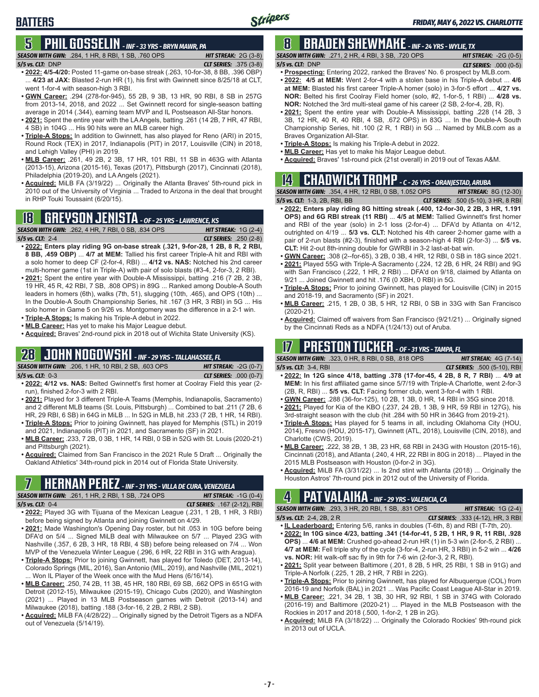#### **5 PHIL GOSSELIN** *- INF - 33 YRS - BRYN MAWR, PA SEASON WITH GWN:*.284, 1 HR, 8 RBI, 1 SB, .760 OPS *HIT STREAK:* 2G (3-8)

**BATTERS**

- *5/5 vs. CLT:*DNP *CLT SERIES:* .375 (3-8) **• 2022: 4/5-4/20:** Posted 11-game on-base streak (.263, 10-for-38, 8 BB, .396 OBP) ... **4/23 at JAX:** Blasted 2-run HR (1), his first with Gwinnett since 8/25/18 at CLT,
- went 1-for-4 with season-high 3 RBI. **• GWN Career:** .294 (278-for-945), 55 2B, 9 3B, 13 HR, 90 RBI, 8 SB in 257G from 2013-14, 2018, and 2022 ... Set Gwinnett record for single-season batting average in 2014 (.344), earning team MVP and IL Postseason All-Star honors.
- **• 2021:** Spent the entire year with the LA Angels, batting .261 (14 2B, 7 HR, 47 RBI, 4 SB) in 104G ... His 90 hits were an MLB career high.
- **• Triple-A Stops:** In addition to Gwinnett, has also played for Reno (ARI) in 2015, Round Rock (TEX) in 2017, Indianapolis (PIT) in 2017, Louisville (CIN) in 2018, and Lehigh Valley (PHI) in 2019.
- **• MLB Career:** .261, 49 2B, 2 3B, 17 HR, 101 RBI, 11 SB in 463G with Atlanta (2013-15), Arizona (2015-16), Texas (2017), Pittsburgh (2017), Cincinnati (2018), Philadelphia (2019-20), and LA Angels (2021).
- **• Acquired:** MiLB FA (3/19/22) ... Originally the Atlanta Braves' 5th-round pick in 2010 out of the University of Virginia ... Traded to Arizona in the deal that brought in RHP Touki Toussaint (6/20/15).

### **18 GREYSON JENISTA** *- OF - 25 YRS - LAWRENCE, KS*



- **• 2022: Enters play riding 9G on-base streak (.321, 9-for-28, 1 2B, 8 R, 2 RBI, 8 BB, .459 OBP)** ... **4/7 at MEM:** Tallied his first career Triple-A hit and RBI with a solo homer to deep CF (2-for-4, RBI) ... **4/12 vs. NAS:** Notched his 2nd career multi-homer game (1st in Triple-A) with pair of solo blasts (#3-4, 2-for-3, 2 RBI).
- **• 2021:** Spent the entire year with Double-A Mississippi, batting .216 (7 2B, 2 3B, 19 HR, 45 R, 42 RBI, 7 SB, .808 OPS) in 89G ... Ranked among Double-A South leaders in homers (6th), walks (7th, 51), slugging (10th, .465), and OPS (10th) ... In the Double-A South Championship Series, hit .167 (3 HR, 3 RBI) in 5G ... His solo homer in Game 5 on 9/26 vs. Montgomery was the difference in a 2-1 win.
- **• Triple-A Stops:** Is making his Triple-A debut in 2022.
- **• MLB Career:** Has yet to make his Major League debut.
- **• Acquired:** Braves' 2nd-round pick in 2018 out of Wichita State University (KS).

## **28 JOHN NOGOWSKI** *- INF - 29 YRS - TALLAHASSEE, FL*

*SEASON WITH GWN:*.206, 1 HR, 10 RBI, 2 SB, .603 OPS *HIT STREAK:* -2G (0-7) *5/5 vs. CLT:*0-3 *CLT SERIES:* .000 (0-7)

- **• 2022: 4/12 vs. NAS:** Belted Gwinnett's first homer at Coolray Field this year (2 run), finished 2-for-3 with 2 RBI.
- **• 2021:** Played for 3 different Triple-A Teams (Memphis, Indianapolis, Sacramento) and 2 different MLB teams (St. Louis, Pittsburgh) ... Combined to bat .211 (7 2B, 6 HR, 29 RBI, 6 SB) in 64G in MiLB ... In 52G in MLB, hit .233 (7 2B, 1 HR, 14 RBI). **• Triple-A Stops:** Prior to joining Gwinnett, has played for Memphis (STL) in 2019
- and 2021, Indianapolis (PIT) in 2021, and Sacramento (SF) in 2021. **• MLB Career:** .233, 7 2B, 0 3B, 1 HR, 14 RBI, 0 SB in 52G with St. Louis (2020-21)
- and Pittsburgh (2021).
- **• Acquired:** Claimed from San Francisco in the 2021 Rule 5 Draft ... Originally the Oakland Athletics' 34th-round pick in 2014 out of Florida State University.

*SEASON WITH GWN:*.261, 1 HR, 2 RBI, 1 SB, .724 OPS *HIT STREAK:* -1G (0-4)

*5/5 vs. CLT:*0-4 *CLT SERIES:* .167 (2-12), RBI

- **• 2022:** Played 3G with Tijuana of the Mexican League (.231, 1 2B, 1 HR, 3 RBI) before being signed by Atlanta and joining Gwinnett on 4/29.
- **• 2021:** Made Washington's Opening Day roster, but hit .053 in 10G before being DFA'd on 5/4 ... Signed MiLB deal with Milwaukee on 5/7 ... Played 23G with Nashville (.357, 6 2B, 3 HR, 18 RBI, 4 SB) before being released on 7/4 ... Won MVP of the Venezuela Winter League (.296, 6 HR, 22 RBI in 31G with Aragua).
- **• Triple-A Stops:** Prior to joining Gwinnett, has played for Toledo (DET, 2013-14), Colorado Springs (MIL, 2016), San Antonio (MIL, 2019), and Nashville (MIL, 2021) ... Won IL Player of the Week once with the Mud Hens (6/16/14).
- **• MLB Career:** .250, 74 2B, 11 3B, 45 HR, 180 RBI, 69 SB, .662 OPS in 651G with Detroit (2012-15), Milwaukee (2015-19), Chicago Cubs (2020), and Washington (2021) ... Played in 13 MLB Postseason games with Detroit (2013-14) and Milwaukee (2018), batting .188 (3-for-16, 2 2B, 2 RBI, 2 SB).
- **• Acquired:** MiLB FA (4/28/22) ... Originally signed by the Detroit Tigers as a NDFA out of Venezuela (5/14/19).

## **8 BRADEN SHEWMAKE** *- INF - 24 YRS - WYLIE, TX*

*SEASON WITH GWN:*.271, 2 HR, 4 RBI, 3 SB, .720 OPS *HIT STREAK:* -2G (0-5) *5/5 vs. CLT:*DNP *CLT SERIES:* .000 (0-5)

- **• Prospecting:** Entering 2022, ranked the Braves' No. 6 prospect by MLB.com. **• 2022: 4/5 at MEM:** Went 2-for-4 with a stolen base in his Triple-A debut ... **4/6 at MEM:** Blasted his first career Triple-A homer (solo) in 3-for-5 effort ... **4/27 vs. NOR:** Belted his first Coolray Field homer (solo, #2, 1-for-5, 1 RBI) ... **4/28 vs. NOR:** Notched the 3rd multi-steal game of his career (2 SB, 2-for-4, 2B, R).
- **• 2021:** Spent the entire year with Double-A Mississippi, batting .228 (14 2B, 3 3B, 12 HR, 40 R, 40 RBI, 4 SB, .672 OPS) in 83G ... In the Double-A South Championship Series, hit .100 (2 R, 1 RBI) in 5G ... Named by MiLB.com as a Braves Organization All-Star.
- **• Triple-A Stops:** Is making his Triple-A debut in 2022.
- **• MLB Career:** Has yet to make his Major League debut.
- **• Acquired:** Braves' 1st-round pick (21st overall) in 2019 out of Texas A&M.

## **14 CHADWICK TROMP** *- C - 26 YRS - ORANJESTAD, ARUBA*

| <b>SEASON WITH GWN:</b> .354, 4 HR, 12 RBI, 0 SB, 1.052 OPS |  | <b>HIT STREAK: 8G (12-30)</b>               |
|-------------------------------------------------------------|--|---------------------------------------------|
| 5/5 vs. CLT: 1-3, 2B, RBI, BB                               |  | <b>CLT SERIES:</b> .500 (5-10), 3 HR, 8 RBI |

- **• 2022: Enters play riding 8G hitting streak (.400, 12-for-30, 2 2B, 3 HR, 1.191 OPS) and 6G RBI streak (11 RBI)** ... **4/5 at MEM:** Tallied Gwinnett's first homer and RBI of the year (solo) in 2-1 loss (2-for-4) ... DFA'd by Atlanta on 4/12, outrighted on 4/19 ... **5/3 vs. CLT:** Notched his 4th career 2-homer game with a pair of 2-run blasts (#2-3), finished with a season-high 4 RBI (2-for-3) ... **5/5 vs. CLT:** Hit 2-out 8th-inning double for GWRBI in 3-2 last-at-bat win.
- **• GWN Career:** .308 (2--for-65), 3 2B, 0 3B, 4 HR, 12 RBI, 0 SB in 18G since 2021.
- **• 2021:** Played 55G with Triple-A Sacramento (.224, 12 2B, 6 HR, 24 RBI) and 9G with San Francisco (.222, 1 HR, 2 RBI) ... DFA'd on 9/18, claimed by Atlanta on 9/21 ... Joined Gwinnett and hit .176 (0 XBH, 0 RBI) in 5G.
- **• Triple-A Stops:** Prior to joining Gwinnett, has played for Louisville (CIN) in 2015 and 2018-19, and Sacramento (SF) in 2021.
- **• MLB Career:** .215, 1 2B, 0 3B, 5 HR, 12 RBI, 0 SB in 33G with San Francisco (2020-21).
- **• Acquired:** Claimed off waivers from San Francisco (9/21/21) ... Originally signed by the Cincinnati Reds as a NDFA (1/24/13) out of Aruba.

### **17 PRESTON TUCKER** *- OF - 31 YRS - TAMPA, FL*

*SEASON WITH GWN:*.323, 0 HR, 8 RBI, 0 SB, .818 OPS *HIT STREAK:* 4G (7-14) *5/5 vs. CLT:*3-4, RBI *CLT SERIES:* .500 (5-10), RBI

- **• 2022: In 12G since 4/18, batting .378 (17-for-45, 4 2B, 8 R, 7 RBI)** ... **4/9 at MEM:** In his first affiliated game since 5/7/19 with Triple-A Charlotte, went 2-for-3 (2B, R, RBI) ... **5/5 vs. CLT:** Facing former club, went 3-for-4 with 1 RBI.
- **• GWN Career:** .288 (36-for-125), 10 2B, 1 3B, 0 HR, 14 RBI in 35G since 2018. **• 2021:** Played for Kia of the KBO (.237, 24 2B, 1 3B, 9 HR, 59 RBI in 127G), his 3rd-straight season with the club (hit .284 with 50 HR in 364G from 2019-21).
- **• Triple-A Stops:** Has played for 5 teams in all, including Oklahoma City (HOU, 2014), Fresno (HOU, 2015-17), Gwinnett (ATL, 2018), Louisville (CIN, 2018), and Charlotte (CWS, 2019).
- **• MLB Career:** .222, 38 2B, 1 3B, 23 HR, 68 RBI in 243G with Houston (2015-16), Cincinnati (2018), and Atlanta (.240, 4 HR, 22 RBI in 80G in 2018) ... Played in the 2015 MLB Postseason with Houston (0-for-2 in 3G).
- **• Acquired:** MiLB FA (3/31/22) ... Is 2nd stint with Atlanta (2018) ... Originally the Houston Astros' 7th-round pick in 2012 out of the University of Florida.<br>**7 HTMP - 31 YRS - VILLA DE CURA, VENEZUELA**

## **4 PAT VALAIKA** *- INF - 29 YRS - VALENCIA, CA*

*SEASON WITH GWN:*.293, 3 HR, 20 RBI, 1 SB, .831 OPS *HIT STREAK:* 1G (2-4)

- *5/5 vs. CLT:*2-4, 2B, 2 R *CLT SERIES:* .333 (4-12), HR, 3 RBI
- **• IL Leaderboard:** Entering 5/6, ranks in doubles (T-6th, 8) and RBI (T-7th, 20). **• 2022: In 10G since 4/23, batting .341 (14-for-41, 5 2B, 1 HR, 9 R, 11 RBI, .928 OPS)** ... **4/6 at MEM:** Crushed go-ahead 2-run HR (1) in 5-3 win (2-for-5, 2 RBI) ...
- **4/7 at MEM:** Fell triple shy of the cycle (3-for-4, 2-run HR, 3 RBI) in 5-2 win ... **4/26 vs. NOR:** Hit walk-off sac fly in 9th for 7-6 win (2-for-3, 2 R, RBI).
- **• 2021:** Split year between Baltimore (.201, 8 2B, 5 HR, 25 RBI, 1 SB in 91G) and Triple-A Norfolk (.225, 1 2B, 2 HR, 7 RBI in 22G).
- **• Triple-A Stops:** Prior to joining Gwinnett, has played for Albuquerque (COL) from 2016-19 and Norfolk (BAL) in 2021 ... Was Pacific Coast League All-Star in 2019.
- **• MLB Career:** .221, 34 2B, 1 3B, 30 HR, 92 RBI, 1 SB in 374G with Colorado (2016-19) and Baltimore (2020-21) ... Played in the MLB Postseason with the Rockies in 2017 and 2018 (.500, 1-for-2, 1 2B in 2G).
- **• Acquired:** MiLB FA (3/18/22) ... Originally the Colorado Rockies' 9th-round pick in 2013 out of UCLA.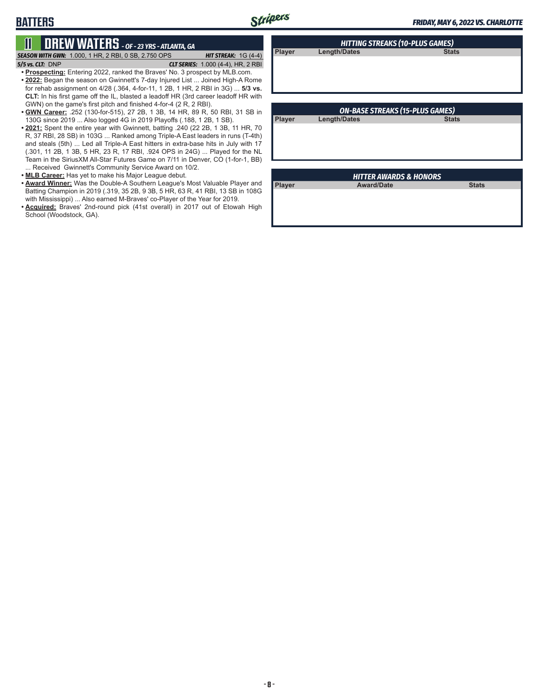**Player Length/Dates** 

# **11 DREW WATERS** *- OF - 23 YRS - ATLANTA, GA*

**BATTERS**

*SEASON WITH GWN:*1.000, 1 HR, 2 RBI, 0 SB, 2.750 OPS *HIT STREAK:* 1G (4-4)

*5/5 vs. CLT:*DNP *CLT SERIES:* 1.000 (4-4), HR, 2 RBI

**• Prospecting:** Entering 2022, ranked the Braves' No. 3 prospect by MLB.com.

- **• 2022:** Began the season on Gwinnett's 7-day Injured List ... Joined High-A Rome for rehab assignment on 4/28 (.364, 4-for-11, 1 2B, 1 HR, 2 RBI in 3G) ... **5/3 vs. CLT:** In his first game off the IL, blasted a leadoff HR (3rd career leadoff HR with GWN) on the game's first pitch and finished 4-for-4 (2 R, 2 RBI).
- **• GWN Career:** .252 (130-for-515), 27 2B, 1 3B, 14 HR, 89 R, 50 RBI, 31 SB in 130G since 2019 ... Also logged 4G in 2019 Playoffs (.188, 1 2B, 1 SB).
- **• 2021:** Spent the entire year with Gwinnett, batting .240 (22 2B, 1 3B, 11 HR, 70 R, 37 RBI, 28 SB) in 103G ... Ranked among Triple-A East leaders in runs (T-4th) and steals (5th) ... Led all Triple-A East hitters in extra-base hits in July with 17 (.301, 11 2B, 1 3B, 5 HR, 23 R, 17 RBI, .924 OPS in 24G) ... Played for the NL Team in the SiriusXM All-Star Futures Game on 7/11 in Denver, CO (1-for-1, BB) ... Received Gwinnett's Community Service Award on 10/2.
- **• MLB Career:** Has yet to make his Major League debut.
- **• Award Winner:** Was the Double-A Southern League's Most Valuable Player and Batting Champion in 2019 (.319, 35 2B, 9 3B, 5 HR, 63 R, 41 RBI, 13 SB in 108G with Mississippi) ... Also earned M-Braves' co-Player of the Year for 2019.
- **• Acquired:** Braves' 2nd-round pick (41st overall) in 2017 out of Etowah High School (Woodstock, GA).

| <b>ON-BASE STREAKS (15-PLUS GAMES)</b> |                     |              |  |  |
|----------------------------------------|---------------------|--------------|--|--|
| <b>Player</b>                          | <b>Length/Dates</b> | <b>Stats</b> |  |  |
|                                        |                     |              |  |  |
|                                        |                     |              |  |  |
|                                        |                     |              |  |  |

*HITTING STREAKS (10-PLUS GAMES)*

| <b>IIII ILA AWANDJ &amp; IIUNUNJ</b> |                   |              |  |
|--------------------------------------|-------------------|--------------|--|
| Player                               | <b>Award/Date</b> | <b>Stats</b> |  |
|                                      |                   |              |  |
|                                      |                   |              |  |
|                                      |                   |              |  |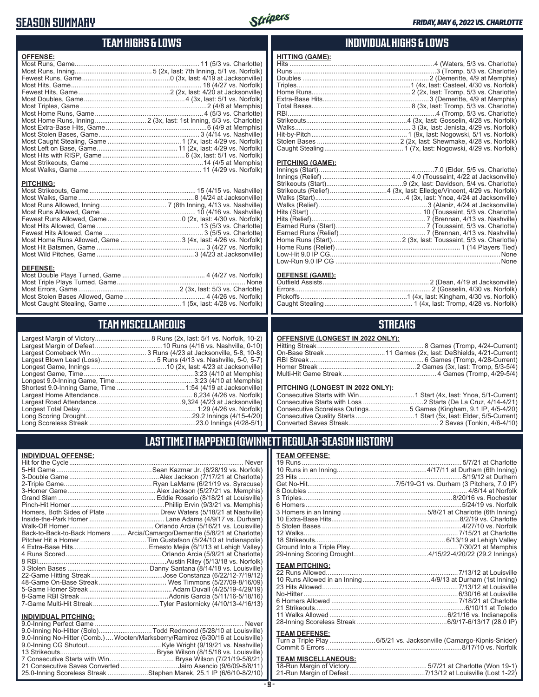### **SEASON SUMMARY**



|                  | <b>TEAM HIGHS &amp; LOWS</b>                                       | INI                                                                                                                                                                                                                           |
|------------------|--------------------------------------------------------------------|-------------------------------------------------------------------------------------------------------------------------------------------------------------------------------------------------------------------------------|
| <b>OFFENSE:</b>  | Most Home Runs, Inning 2 (3x, last: 1st Inning, 5/3 vs. Charlotte) | <b>HITTING (GAME):</b><br>Doubles<br>Triples<br>Home Runs<br>Extra-Base Hits<br>Total Bases<br>Strikeouts<br>Walks<br>Hit-bv-Pitch<br>Stolen Bases                                                                            |
| <b>PITCHING:</b> |                                                                    | Caught Stealing<br><b>PITCHING (GAME):</b><br>Innings (Start)<br>Innings (Relief)<br>Strikeouts (Start)                                                                                                                       |
| <b>DEFENSE:</b>  | Most Home Runs Allowed, Game  3 (4x, last: 4/26 vs. Norfolk)       | Strikeouts (Relief)<br>Walks (Start)<br>Walks (Relief)<br>Hits (Start)<br>Hits (Relief)<br>Earned Runs (Start)<br>Earned Runs (Relief)<br>Home Runs (Start)<br>Home Runs (Relief)<br>Low-Hit 9.0 IP CG<br>Low-Run 9.0 IP CG   |
|                  |                                                                    | <b>DEFENSE (GAME):</b><br>Outfield Assists<br>Pickoffs<br>Caught Stealing                                                                                                                                                     |
|                  | <b>TEAM MISCELLANEOUS</b>                                          |                                                                                                                                                                                                                               |
|                  | Largest Comeback Win  3 Runs (4/23 at Jacksonville, 5-8, 10-8)     | <b>OFFENSIVE (LONGEST II)</b><br>Hitting Streak<br>On-Base Streak<br><b>RBI Streak</b><br>Homer Streak<br>Multi-Hit Game Streak<br><b>PITCHING (LONGEST IN )</b><br>Consecutive Starts with Wi<br>Consecutive Starts with Los |

### **INDIVIDUAL HIGHS & LOWS**

### **STREAKS**

**N 2022 ONLY):** 

#### **2022 ONLY):**

| Consecutive Scoreless Outings5 Games (Kingham, 9.1 IP, 4/5-4/20) |
|------------------------------------------------------------------|
|                                                                  |
|                                                                  |

### **LAST TIME IT HAPPENED (GWINNETT REGULAR-SEASON HISTORY)**

#### **TEAM OFFENSE:**

| <b>TEAM PITCHING:</b> |                                                                     |
|-----------------------|---------------------------------------------------------------------|
|                       |                                                                     |
|                       |                                                                     |
|                       |                                                                     |
|                       |                                                                     |
|                       |                                                                     |
|                       |                                                                     |
|                       |                                                                     |
|                       |                                                                     |
|                       |                                                                     |
| <b>TEAM DEFENSE:</b>  |                                                                     |
|                       | Turn a Triple Play  6/5/21 vs. Jacksonville (Camargo-Kipnis-Snider) |
|                       |                                                                     |
|                       |                                                                     |

### **TEAM MISCELLANEOUS:**

| 21-Run Margin of Defeat…………………………………7/13/12 at Louisville (Lost 1-22) |  |
|-----------------------------------------------------------------------|--|

| <b>INDIVIDUAL OFFENSE.</b>       |                                                                            |
|----------------------------------|----------------------------------------------------------------------------|
|                                  |                                                                            |
|                                  |                                                                            |
|                                  |                                                                            |
|                                  |                                                                            |
|                                  |                                                                            |
|                                  |                                                                            |
|                                  |                                                                            |
|                                  | Homers, Both Sides of Plate  Drew Waters (5/18/21 at Nashville)            |
|                                  |                                                                            |
|                                  |                                                                            |
|                                  | Back-to-Back-to-Back Homers  Arcia/Camargo/Demeritte (5/8/21 at Charlotte) |
|                                  |                                                                            |
|                                  |                                                                            |
|                                  |                                                                            |
|                                  |                                                                            |
|                                  |                                                                            |
|                                  |                                                                            |
|                                  |                                                                            |
|                                  |                                                                            |
|                                  |                                                                            |
|                                  |                                                                            |
| ININIDIIAI DITCUINC <sub>1</sub> |                                                                            |

#### **INDIVIDUAL PITCHING:**

| 9.0-Inning No-Hitter (Solo)Todd Redmond (5/28/10 at Louisville)                 |
|---------------------------------------------------------------------------------|
| 9.0-Inning No-Hitter (Comb.)  Wooten/Marksberry/Ramirez (6/30/16 at Louisville) |
|                                                                                 |
|                                                                                 |
|                                                                                 |
| 21 Consecutive Saves Converted Jairo Asencio (9/6/09-8/8/11)                    |
| 25.0-Inning Scoreless Streak Stephen Marek, 25.1 IP (6/6/10-8/2/10)             |

Longest Total Delay............................................................... 1:29 (4/26 vs. Norfolk) Long Scoring Drought..........................................................29.2 Innings (4/15-4/20) Long Scoreless Streak ..........................................................23.0 Innings (4/28-5/1)